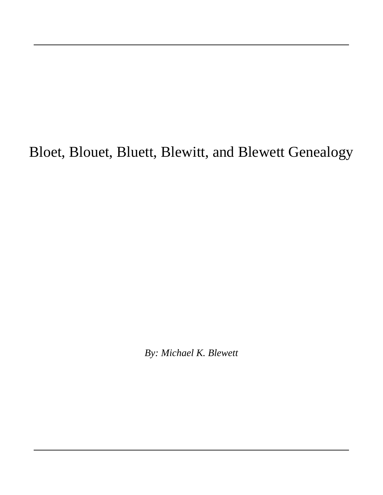# Bloet, Blouet, Bluett, Blewitt, and Blewett Genealogy

*By: Michael K. Blewett*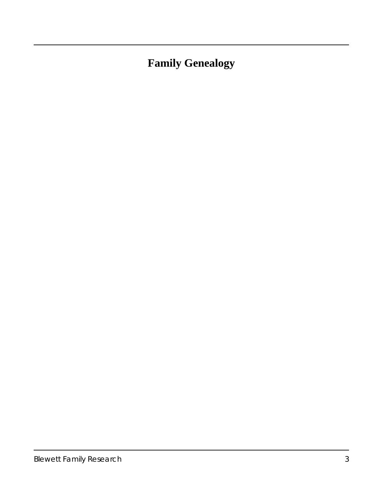## **Family Genealogy**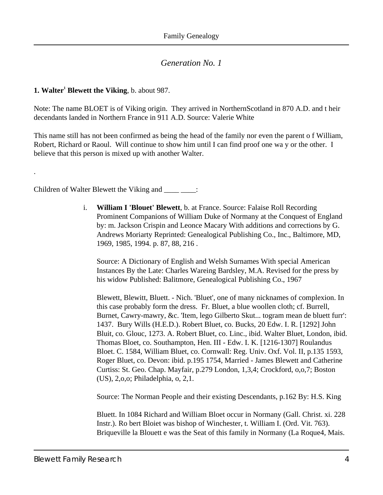#### <span id="page-3-0"></span>**1. Walter<sup>1</sup> Blewett the Viking**, b. about 987.

.

Note: The name BLOET is of Viking origin. They arrived in NorthernScotland in 870 A.D. and t heir decendants landed in Northern France in 911 A.D. Source: Valerie White

This name still has not been confirmed as being the head of the family nor even the parent o f William, Robert, Richard or Raoul. Will continue to show him until I can find proof one wa y or the other. I believe that this person is mixed up with another Walter.

<span id="page-3-1"></span>Children of Walter Blewett the Viking and \_\_\_\_\_ \_\_\_\_:

i. **William I 'Blouet' Blewett**, b. at France. Source: Falaise Roll Recording Prominent Companions of William Duke of Normany at the Conquest of England by: m. Jackson Crispin and Leonce Macary With additions and corrections by G. Andrews Moriarty Reprinted: Genealogical Publishing Co., Inc., Baltimore, MD, 1969, 1985, 1994. p. 87, 88, 216 .

Source: A Dictionary of English and Welsh Surnames With special American Instances By the Late: Charles Wareing Bardsley, M.A. Revised for the press by his widow Published: Balitmore, Genealogical Publishing Co., 1967

Blewett, Blewitt, Bluett. - Nich. 'Bluet', one of many nicknames of complexion. In this case probably form the dress. Fr. Bluet, a blue woollen cloth; cf. Burrell, Burnet, Cawry-mawry, &c. 'Item, lego Gilberto Skut... togram mean de bluett furr': 1437. Bury Wills (H.E.D.). Robert Bluet, co. Bucks, 20 Edw. I. R. [1292] John Bluit, co. Glouc, 1273. A. Robert Bluet, co. Linc., ibid. Walter Bluet, London, ibid. Thomas Bloet, co. Southampton, Hen. III - Edw. I. K. [1216-1307] Roulandus Bloet. C. 1584, William Bluet, co. Cornwall: Reg. Univ. Oxf. Vol. II, p.135 1593, Roger Bluet, co. Devon: ibid. p.195 1754, Married - James Blewett and Catherine Curtiss: St. Geo. Chap. Mayfair, p.279 London, 1,3,4; Crockford, o,o,7; Boston (US), 2,o,o; Philadelphia, o, 2,1.

Source: The Norman People and their existing Descendants, p.162 By: H.S. King

Bluett. In 1084 Richard and William Bloet occur in Normany (Gall. Christ. xi. 228 Instr.). Ro bert Bloiet was bishop of Winchester, t. William I. (Ord. Vit. 763). Briqueville la Blouett e was the Seat of this family in Normany (La Roque4, Mais.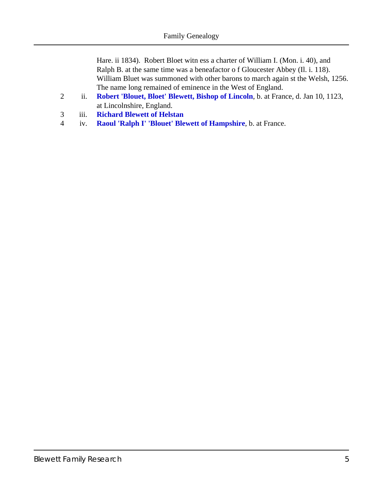Hare. ii 1834). Robert Bloet witn ess a charter of William I. (Mon. i. 40), and Ralph B. at the same time was a beneafactor o f Gloucester Abbey (Il. i. 118). William Bluet was summoned with other barons to march again st the Welsh, 1256. The name long remained of eminence in the West of England.

- 2 ii. **[Robert 'Blouet, Bloet' Blewett, Bishop of Lincoln](#page-5-0)**, b. at France, d. Jan 10, 1123, at Lincolnshire, England.
- 3 iii. **[Richard Blewett of Helstan](#page-7-0)**
- 4 iv. **[Raoul 'Ralph I' 'Blouet' Blewett of Hampshire](#page-8-0)**, b. at France.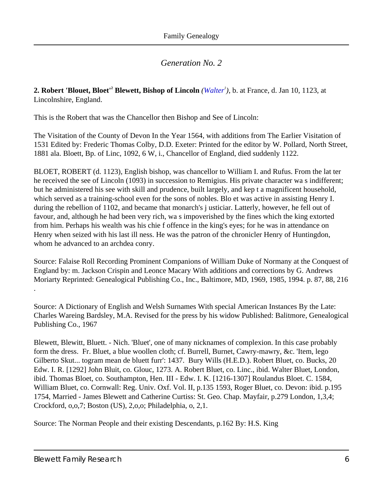<span id="page-5-0"></span>**2. Robert 'Blouet, Bloet'<sup>2</sup> Blewett, Bishop of Lincoln** *[\(Walter](#page-3-0)<sup>1</sup> )*, b. at France, d. Jan 10, 1123, at Lincolnshire, England.

This is the Robert that was the Chancellor then Bishop and See of Lincoln:

The Visitation of the County of Devon In the Year 1564, with additions from The Earlier Visitation of 1531 Edited by: Frederic Thomas Colby, D.D. Exeter: Printed for the editor by W. Pollard, North Street, 1881 ala. Bloett, Bp. of Linc, 1092, 6 W, i., Chancellor of England, died suddenly 1122.

BLOET, ROBERT (d. 1123), English bishop, was chancellor to William I. and Rufus. From the lat ter he received the see of Lincoln (1093) in succession to Remigius. His private character wa s indifferent; but he administered his see with skill and prudence, built largely, and kep t a magnificent household, which served as a training-school even for the sons of nobles. Blo et was active in assisting Henry I. during the rebellion of 1102, and became that monarch's j usticiar. Latterly, however, he fell out of favour, and, although he had been very rich, wa s impoverished by the fines which the king extorted from him. Perhaps his wealth was his chie f offence in the king's eyes; for he was in attendance on Henry when seized with his last ill ness. He was the patron of the chronicler Henry of Huntingdon, whom he advanced to an archdea conry.

Source: Falaise Roll Recording Prominent Companions of William Duke of Normany at the Conquest of England by: m. Jackson Crispin and Leonce Macary With additions and corrections by G. Andrews Moriarty Reprinted: Genealogical Publishing Co., Inc., Baltimore, MD, 1969, 1985, 1994. p. 87, 88, 216

Source: A Dictionary of English and Welsh Surnames With special American Instances By the Late: Charles Wareing Bardsley, M.A. Revised for the press by his widow Published: Balitmore, Genealogical Publishing Co., 1967

Blewett, Blewitt, Bluett. - Nich. 'Bluet', one of many nicknames of complexion. In this case probably form the dress. Fr. Bluet, a blue woollen cloth; cf. Burrell, Burnet, Cawry-mawry, &c. 'Item, lego Gilberto Skut... togram mean de bluett furr': 1437. Bury Wills (H.E.D.). Robert Bluet, co. Bucks, 20 Edw. I. R. [1292] John Bluit, co. Glouc, 1273. A. Robert Bluet, co. Linc., ibid. Walter Bluet, London, ibid. Thomas Bloet, co. Southampton, Hen. III - Edw. I. K. [1216-1307] Roulandus Bloet. C. 1584, William Bluet, co. Cornwall: Reg. Univ. Oxf. Vol. II, p.135 1593, Roger Bluet, co. Devon: ibid. p.195 1754, Married - James Blewett and Catherine Curtiss: St. Geo. Chap. Mayfair, p.279 London, 1,3,4; Crockford, o,o,7; Boston (US), 2,o,o; Philadelphia, o, 2,1.

Source: The Norman People and their existing Descendants, p.162 By: H.S. King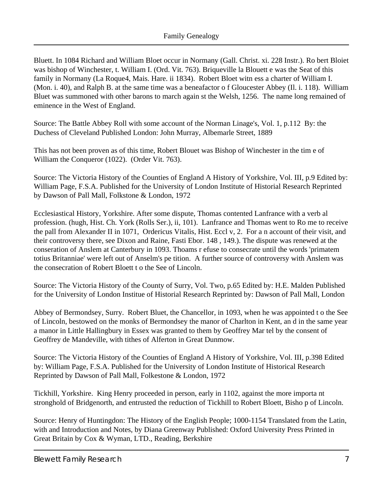Bluett. In 1084 Richard and William Bloet occur in Normany (Gall. Christ. xi. 228 Instr.). Ro bert Bloiet was bishop of Winchester, t. William I. (Ord. Vit. 763). Briqueville la Blouett e was the Seat of this family in Normany (La Roque4, Mais. Hare. ii 1834). Robert Bloet witn ess a charter of William I. (Mon. i. 40), and Ralph B. at the same time was a beneafactor o f Gloucester Abbey (Il. i. 118). William Bluet was summoned with other barons to march again st the Welsh, 1256. The name long remained of eminence in the West of England.

Source: The Battle Abbey Roll with some account of the Norman Linage's, Vol. 1, p.112 By: the Duchess of Cleveland Published London: John Murray, Albemarle Street, 1889

This has not been proven as of this time, Robert Blouet was Bishop of Winchester in the tim e of William the Conqueror (1022). (Order Vit. 763).

Source: The Victoria History of the Counties of England A History of Yorkshire, Vol. III, p.9 Edited by: William Page, F.S.A. Published for the University of London Institute of Historial Research Reprinted by Dawson of Pall Mall, Folkstone & London, 1972

Ecclesiastical History, Yorkshire. After some dispute, Thomas contented Lanfrance with a verb al profession. (hugh, Hist. Ch. York (Rolls Ser.), ii, 101). Lanfrance and Thomas went to Ro me to receive the pall from Alexander II in 1071, Ordericus Vitalis, Hist. Eccl v, 2. For a n account of their visit, and their controversy there, see Dixon and Raine, Fasti Ebor. 148 , 149.). The dispute was renewed at the conseration of Anslem at Canterbury in 1093. Thoams r efuse to consecrate until the words 'primatem totius Britanniae' were left out of Anselm's pe tition. A further source of controversy with Anslem was the consecration of Robert Bloett t o the See of Lincoln.

Source: The Victoria History of the County of Surry, Vol. Two, p.65 Edited by: H.E. Malden Published for the University of London Institue of Historial Research Reprinted by: Dawson of Pall Mall, London

Abbey of Bermondsey, Surry. Robert Bluet, the Chancellor, in 1093, when he was appointed t o the See of Lincoln, bestowed on the monks of Bermondsey the manor of Charlton in Kent, an d in the same year a manor in Little Hallingbury in Essex was granted to them by Geoffrey Mar tel by the consent of Geoffrey de Mandeville, with tithes of Alferton in Great Dunmow.

Source: The Victoria History of the Counties of England A History of Yorkshire, Vol. III, p.398 Edited by: William Page, F.S.A. Published for the University of London Institute of Historical Research Reprinted by Dawson of Pall Mall, Folkestone & London, 1972

Tickhill, Yorkshire. King Henry proceeded in person, early in 1102, against the more importa nt stronghold of Bridgenorth, and entrusted the reduction of Tickhill to Robert Bloett, Bisho p of Lincoln.

Source: Henry of Huntingdon: The History of the English People; 1000-1154 Translated from the Latin, with and Introduction and Notes, by Diana Greenway Published: Oxford University Press Printed in Great Britain by Cox & Wyman, LTD., Reading, Berkshire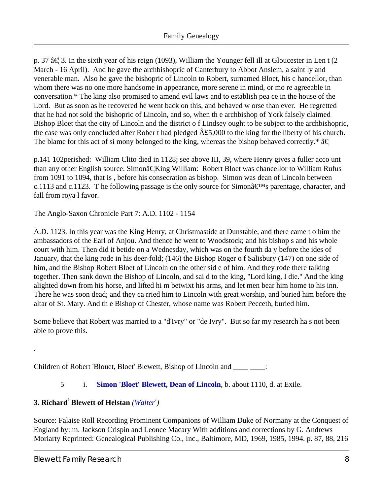p. 37  $\hat{a} \in \mathcal{F}$  3. In the sixth year of his reign (1093), William the Younger fell ill at Gloucester in Len t (2 March - 16 April). And he gave the archbishopric of Canterbury to Abbot Anslem, a saint ly and venerable man. Also he gave the bishopric of Lincoln to Robert, surnamed Bloet, his c hancellor, than whom there was no one more handsome in appearance, more serene in mind, or mo re agreeable in conversation.\* The king also promised to amend evil laws and to establish pea ce in the house of the Lord. But as soon as he recovered he went back on this, and behaved w orse than ever. He regretted that he had not sold the bishopric of Lincoln, and so, when th e archbishop of York falsely claimed Bishop Bloet that the city of Lincoln and the district o f Lindsey ought to be subject to the archbishopric, the case was only concluded after Rober t had pledged  $\hat{A}$ £5,000 to the king for the liberty of his church. The blame for this act of si mony belonged to the king, whereas the bishop behaved correctly.\*  $\hat{a} \in \mathbb{R}$ 

p.141 102 perished: William Clito died in 1128; see above III, 39, where Henry gives a fuller acco unt than any other English source. Simon…King William: Robert Bloet was chancellor to William Rufus from 1091 to 1094, that is , before his consecration as bishop. Simon was dean of Lincoln between c.1113 and c.1123. The following passage is the only source for Simon $\hat{\mathbf{a}} \in \mathbb{N}$  parentage, character, and fall from roya l favor.

The Anglo-Saxon Chronicle Part 7: A.D. 1102 - 1154

A.D. 1123. In this year was the King Henry, at Christmastide at Dunstable, and there came t o him the ambassadors of the Earl of Anjou. And thence he went to Woodstock; and his bishop s and his whole court with him. Then did it betide on a Wednesday, which was on the fourth da y before the ides of January, that the king rode in his deer-fold; (146) the Bishop Roger o f Salisbury (147) on one side of him, and the Bishop Robert Bloet of Lincoln on the other sid e of him. And they rode there talking together. Then sank down the Bishop of Lincoln, and sai d to the king, "Lord king, I die." And the king alighted down from his horse, and lifted hi m betwixt his arms, and let men bear him home to his inn. There he was soon dead; and they ca rried him to Lincoln with great worship, and buried him before the altar of St. Mary. And th e Bishop of Chester, whose name was Robert Pecceth, buried him.

Some believe that Robert was married to a "d'Ivry" or "de Ivry". But so far my research ha s not been able to prove this.

Children of Robert 'Blouet, Bloet' Blewett, Bishop of Lincoln and \_\_\_\_ \_\_\_\_:

#### 5 i. **[Simon 'Bloet' Blewett, Dean of Lincoln](#page-10-0)**, b. about 1110, d. at Exile.

#### <span id="page-7-0"></span>**3. Richard<sup>2</sup> Blewett of Helstan** *([Walter](#page-3-0)<sup>1</sup> )*

Source: Falaise Roll Recording Prominent Companions of William Duke of Normany at the Conquest of England by: m. Jackson Crispin and Leonce Macary With additions and corrections by G. Andrews Moriarty Reprinted: Genealogical Publishing Co., Inc., Baltimore, MD, 1969, 1985, 1994. p. 87, 88, 216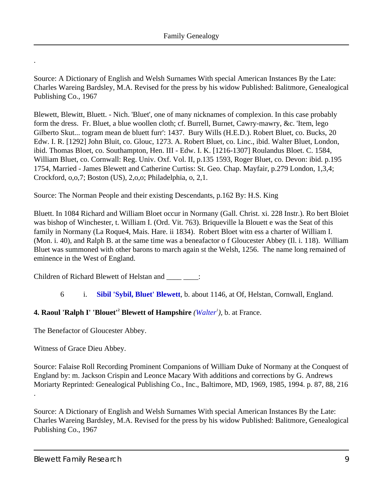Source: A Dictionary of English and Welsh Surnames With special American Instances By the Late: Charles Wareing Bardsley, M.A. Revised for the press by his widow Published: Balitmore, Genealogical Publishing Co., 1967

Blewett, Blewitt, Bluett. - Nich. 'Bluet', one of many nicknames of complexion. In this case probably form the dress. Fr. Bluet, a blue woollen cloth; cf. Burrell, Burnet, Cawry-mawry, &c. 'Item, lego Gilberto Skut... togram mean de bluett furr': 1437. Bury Wills (H.E.D.). Robert Bluet, co. Bucks, 20 Edw. I. R. [1292] John Bluit, co. Glouc, 1273. A. Robert Bluet, co. Linc., ibid. Walter Bluet, London, ibid. Thomas Bloet, co. Southampton, Hen. III - Edw. I. K. [1216-1307] Roulandus Bloet. C. 1584, William Bluet, co. Cornwall: Reg. Univ. Oxf. Vol. II, p.135 1593, Roger Bluet, co. Devon: ibid. p.195 1754, Married - James Blewett and Catherine Curtiss: St. Geo. Chap. Mayfair, p.279 London, 1,3,4; Crockford, o,o,7; Boston (US), 2,o,o; Philadelphia, o, 2,1.

Source: The Norman People and their existing Descendants, p.162 By: H.S. King

Bluett. In 1084 Richard and William Bloet occur in Normany (Gall. Christ. xi. 228 Instr.). Ro bert Bloiet was bishop of Winchester, t. William I. (Ord. Vit. 763). Briqueville la Blouett e was the Seat of this family in Normany (La Roque4, Mais. Hare. ii 1834). Robert Bloet witn ess a charter of William I. (Mon. i. 40), and Ralph B. at the same time was a beneafactor o f Gloucester Abbey (Il. i. 118). William Bluet was summoned with other barons to march again st the Welsh, 1256. The name long remained of eminence in the West of England.

Children of Richard Blewett of Helstan and \_\_\_\_ \_\_\_\_:

6 i. **[Sibil 'Sybil, Bluet' Blewett](#page-11-0)**, b. about 1146, at Of, Helstan, Cornwall, England.

#### <span id="page-8-0"></span>**4. Raoul 'Ralph I' 'Blouet'<sup>2</sup> Blewett of Hampshire** *[\(Walter](#page-3-0)<sup>1</sup>)*, b. at France.

The Benefactor of Gloucester Abbey.

Witness of Grace Dieu Abbey.

.

.

Source: Falaise Roll Recording Prominent Companions of William Duke of Normany at the Conquest of England by: m. Jackson Crispin and Leonce Macary With additions and corrections by G. Andrews Moriarty Reprinted: Genealogical Publishing Co., Inc., Baltimore, MD, 1969, 1985, 1994. p. 87, 88, 216

Source: A Dictionary of English and Welsh Surnames With special American Instances By the Late: Charles Wareing Bardsley, M.A. Revised for the press by his widow Published: Balitmore, Genealogical Publishing Co., 1967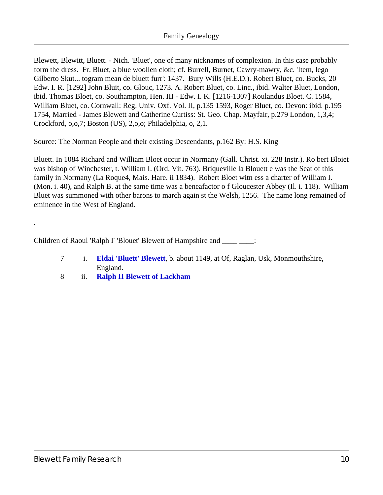Blewett, Blewitt, Bluett. - Nich. 'Bluet', one of many nicknames of complexion. In this case probably form the dress. Fr. Bluet, a blue woollen cloth; cf. Burrell, Burnet, Cawry-mawry, &c. 'Item, lego Gilberto Skut... togram mean de bluett furr': 1437. Bury Wills (H.E.D.). Robert Bluet, co. Bucks, 20 Edw. I. R. [1292] John Bluit, co. Glouc, 1273. A. Robert Bluet, co. Linc., ibid. Walter Bluet, London, ibid. Thomas Bloet, co. Southampton, Hen. III - Edw. I. K. [1216-1307] Roulandus Bloet. C. 1584, William Bluet, co. Cornwall: Reg. Univ. Oxf. Vol. II, p.135 1593, Roger Bluet, co. Devon: ibid. p.195 1754, Married - James Blewett and Catherine Curtiss: St. Geo. Chap. Mayfair, p.279 London, 1,3,4; Crockford, o,o,7; Boston (US), 2,o,o; Philadelphia, o, 2,1.

Source: The Norman People and their existing Descendants, p.162 By: H.S. King

Bluett. In 1084 Richard and William Bloet occur in Normany (Gall. Christ. xi. 228 Instr.). Ro bert Bloiet was bishop of Winchester, t. William I. (Ord. Vit. 763). Briqueville la Blouett e was the Seat of this family in Normany (La Roque4, Mais. Hare. ii 1834). Robert Bloet witn ess a charter of William I. (Mon. i. 40), and Ralph B. at the same time was a beneafactor o f Gloucester Abbey (Il. i. 118). William Bluet was summoned with other barons to march again st the Welsh, 1256. The name long remained of eminence in the West of England.

Children of Raoul 'Ralph I' 'Blouet' Blewett of Hampshire and \_\_\_\_\_\_\_\_:

- 7 i. **[Eldai 'Bluett' Blewett](#page-11-1)**, b. about 1149, at Of, Raglan, Usk, Monmouthshire, England.
- 8 ii. **[Ralph II Blewett of Lackham](#page-11-2)**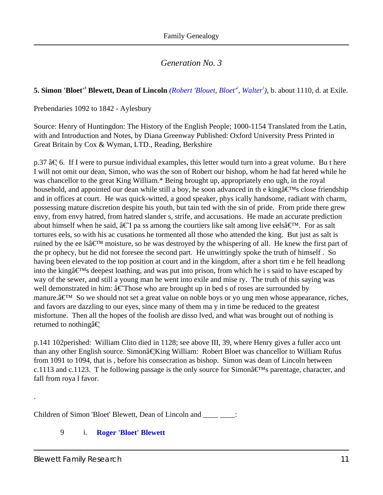### <span id="page-10-0"></span>**5. Simon 'Bloet'<sup>3</sup> Blewett, Dean of Lincoln** *([Robert 'Blouet, Bloet'](#page-5-0)<sup>2</sup> , [Walter](#page-3-0)<sup>1</sup> )*, b. about 1110, d. at Exile.

Prebendaries 1092 to 1842 - Aylesbury

Source: Henry of Huntingdon: The History of the English People; 1000-1154 Translated from the Latin, with and Introduction and Notes, by Diana Greenway Published: Oxford University Press Printed in Great Britain by Cox & Wyman, LTD., Reading, Berkshire

 $p.37$   $\hat{a} \in \mathcal{F}$  6. If I were to pursue individual examples, this letter would turn into a great volume. Bu t here I will not omit our dean, Simon, who was the son of Robert our bishop, whom he had fat hered while he was chancellor to the great King William.\* Being brought up, appropriately eno ugh, in the royal household, and appointed our dean while still a boy, he soon advanced in the king  $\hat{a} \in T^M$ s close friendship and in offices at court. He was quick-witted, a good speaker, phys ically handsome, radiant with charm, possessing mature discretion despite his youth, but tain ted with the sin of pride. From pride there grew envy, from envy hatred, from hatred slander s, strife, and accusations. He made an accurate prediction about himself when he said,  $\hat{a} \in \text{Tpa}$  is among the courtiers like salt among live eels $\hat{a} \in \text{TM}$ . For as salt tortures eels, so with his ac cusations he tormented all those who attended the king. But just as salt is ruined by the ee ls $\hat{a} \in \mathbb{N}^M$  moisture, so he was destroyed by the whispering of all. He knew the first part of the pr ophecy, but he did not foresee the second part. He unwittingly spoke the truth of himself . So having been elevated to the top position at court and in the kingdom, after a short tim e he fell headlong into the king $\hat{a} \in T^M$ s deepest loathing, and was put into prison, from which hei s said to have escaped by way of the sewer, and still a young man he went into exile and mise ry. The truth of this saying was well demonstrated in him:  $\hat{a} \in \hat{T}$  hose who are brought up in bed s of roses are surrounded by manure. $\hat{a} \in \mathbb{N}$  So we should not set a great value on noble boys or yo ung men whose appearance, riches, and favors are dazzling to our eyes, since many of them ma y in time be reduced to the greatest misfortune. Then all the hopes of the foolish are disso lved, and what was brought out of nothing is returned to nothing  $\hat{\mathbf{x}}$ 

p.141 102 perished: William Clito died in 1128; see above III, 39, where Henry gives a fuller acco unt than any other English source. Simon…King William: Robert Bloet was chancellor to William Rufus from 1091 to 1094, that is , before his consecration as bishop. Simon was dean of Lincoln between c.1113 and c.1123. The following passage is the only source for Simon $\hat{\mathbf{a}} \in \mathbb{N}$  parentage, character, and fall from roya l favor.

Children of Simon 'Bloet' Blewett, Dean of Lincoln and \_\_\_\_\_ \_\_\_\_:

#### 9 i. **[Roger 'Bloet' Blewett](#page-13-0)**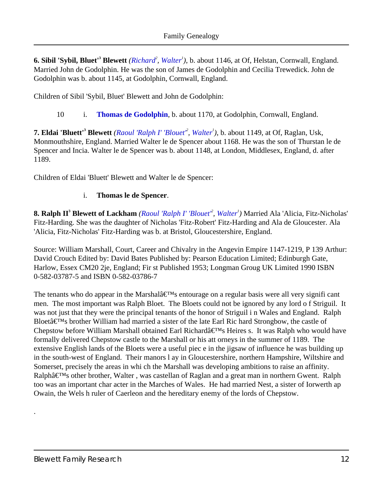<span id="page-11-5"></span><span id="page-11-4"></span><span id="page-11-0"></span>**6. Sibil 'Sybil, Bluet'<sup>3</sup> Blewett** *[\(Richard](#page-7-0)<sup>2</sup> , [Walter](#page-3-0)<sup>1</sup> )*, b. about 1146, at Of, Helstan, Cornwall, England. Married John de Godolphin. He was the son of James de Godolphin and Cecilia Trewedick. John de Godolphin was b. about 1145, at Godolphin, Cornwall, England.

Children of Sibil 'Sybil, Bluet' Blewett and John de Godolphin:

10 i. **[Thomas de Godolphin](#page-13-1)**, b. about 1170, at Godolphin, Cornwall, England.

<span id="page-11-9"></span><span id="page-11-8"></span><span id="page-11-1"></span>**7. Eldai 'Bluett'<sup>3</sup> Blewett** *([Raoul 'Ralph I' 'Blouet'](#page-8-0)<sup>2</sup> , [Walter](#page-3-0)<sup>1</sup> )*, b. about 1149, at Of, Raglan, Usk, Monmouthshire, England. Married Walter le de Spencer about 1168. He was the son of Thurstan le de Spencer and Incia. Walter le de Spencer was b. about 1148, at London, Middlesex, England, d. after 1189.

<span id="page-11-7"></span>Children of Eldai 'Bluett' Blewett and Walter le de Spencer:

#### i. **Thomas le de Spencer**.

<span id="page-11-6"></span><span id="page-11-3"></span><span id="page-11-2"></span>**8. Ralph II<sup>3</sup> Blewett of Lackham** *([Raoul 'Ralph I' 'Blouet'](#page-8-0)<sup>2</sup> , [Walter](#page-3-0)<sup>1</sup> )* Married Ala 'Alicia, Fitz-Nicholas' Fitz-Harding. She was the daughter of Nicholas 'Fitz-Robert' Fitz-Harding and Ala de Gloucester. Ala 'Alicia, Fitz-Nicholas' Fitz-Harding was b. at Bristol, Gloucestershire, England.

Source: William Marshall, Court, Career and Chivalry in the Angevin Empire 1147-1219, P 139 Arthur: David Crouch Edited by: David Bates Published by: Pearson Education Limited; Edinburgh Gate, Harlow, Essex CM20 2je, England; Fir st Published 1953; Longman Groug UK Limited 1990 ISBN 0-582-03787-5 and ISBN 0-582-03786-7

The tenants who do appear in the Marshal $\hat{a} \in T^{M}$ s entourage on a regular basis were all very signifi cant men. The most important was Ralph Bloet. The Bloets could not be ignored by any lord o f Striguil. It was not just that they were the principal tenants of the honor of Striguil i n Wales and England. Ralph Bloet $\hat{\mathbf{a}} \in \mathbb{R}^N$ s brother William had married a sister of the late Earl Ric hard Strongbow, the castle of Chepstow before William Marshall obtained Earl Richardâ€<sup>™</sup>sHeires s. It was Ralph who would have formally delivered Chepstow castle to the Marshall or his att orneys in the summer of 1189. The extensive English lands of the Bloets were a useful piec e in the jigsaw of influence he was building up in the south-west of England. Their manors l ay in Gloucestershire, northern Hampshire, Wiltshire and Somerset, precisely the areas in whi ch the Marshall was developing ambitions to raise an affinity. Ralphâ€<sup>™</sup>s other brother, Walter, was castellan of Raglan and a great man in northern Gwent. Ralph too was an important char acter in the Marches of Wales. He had married Nest, a sister of Iorwerth ap Owain, the Wels h ruler of Caerleon and the hereditary enemy of the lords of Chepstow.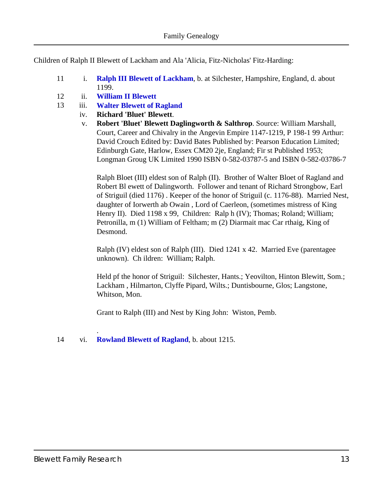Children of Ralph II Blewett of Lackham and Ala 'Alicia, Fitz-Nicholas' Fitz-Harding:

- 11 i. **[Ralph III Blewett of Lackham](#page-13-2)**, b. at Silchester, Hampshire, England, d. about 1199.
- 12 ii. **[William II Blewett](#page-18-0)**
- <span id="page-12-1"></span><span id="page-12-0"></span>13 iii. **[Walter Blewett of Ragland](#page-19-0)**
	- iv. **Richard 'Bluet' Blewett**.
		- v. **Robert 'Bluet' Blewett Daglingworth & Salthrop**. Source: William Marshall, Court, Career and Chivalry in the Angevin Empire 1147-1219, P 198-1 99 Arthur: David Crouch Edited by: David Bates Published by: Pearson Education Limited; Edinburgh Gate, Harlow, Essex CM20 2je, England; Fir st Published 1953; Longman Groug UK Limited 1990 ISBN 0-582-03787-5 and ISBN 0-582-03786-7

Ralph Bloet (III) eldest son of Ralph (II). Brother of Walter Bloet of Ragland and Robert Bl ewett of Dalingworth. Follower and tenant of Richard Strongbow, Earl of Striguil (died 1176) . Keeper of the honor of Striguil (c. 1176-88). Married Nest, daughter of Iorwerth ab Owain , Lord of Caerleon, (sometimes mistress of King Henry II). Died 1198 x 99, Children: Ralp h (IV); Thomas; Roland; William; Petronilla, m (1) William of Feltham; m (2) Diarmait mac Car rthaig, King of Desmond.

Ralph (IV) eldest son of Ralph (III). Died 1241 x 42. Married Eve (parentagee unknown). Ch ildren: William; Ralph.

Held pf the honor of Striguil: Silchester, Hants.; Yeovilton, Hinton Blewitt, Som.; Lackham , Hilmarton, Clyffe Pipard, Wilts.; Duntisbourne, Glos; Langstone, Whitson, Mon.

Grant to Ralph (III) and Nest by King John: Wiston, Pemb.

14 vi. **[Rowland Blewett of Ragland](#page-20-0)**, b. about 1215.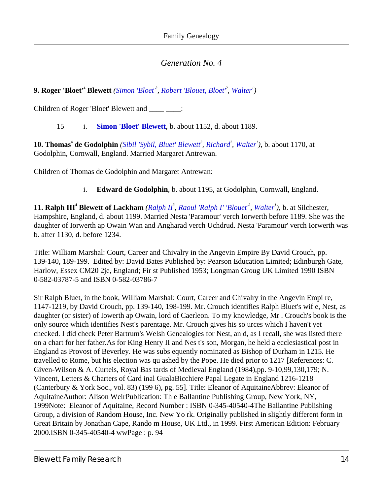<span id="page-13-0"></span>**9. Roger 'Bloet'<sup>4</sup> Blewett** [\(Simon 'Bloet'](#page-10-0)<sup>3</sup>, [Robert 'Blouet, Bloet'](#page-5-0)<sup>2</sup>, [Walter](#page-3-0)<sup>1</sup>)

Children of Roger 'Bloet' Blewett and \_\_\_\_ \_\_\_\_:

15 i. **[Simon 'Bloet' Blewett](#page-23-0)**, b. about 1152, d. about 1189.

<span id="page-13-1"></span>**10. Thomas<sup>4</sup> de Godolphin** *[\(Sibil 'Sybil, Bluet' Blewett](#page-11-0)<sup>3</sup> , [Richard](#page-7-0)<sup>2</sup> , [Walter](#page-3-0)<sup>1</sup> )*, b. about 1170, at Godolphin, Cornwall, England. Married Margaret Antrewan.

<span id="page-13-4"></span><span id="page-13-3"></span>Children of Thomas de Godolphin and Margaret Antrewan:

i. **Edward de Godolphin**, b. about 1195, at Godolphin, Cornwall, England.

<span id="page-13-6"></span><span id="page-13-5"></span><span id="page-13-2"></span>**11. [Ralph II](#page-11-2)I<sup>4</sup> Blewett of Lackham** (*Ralph II<sup>3</sup>, Raoul 'Ralph I' 'Blouet<sup>2</sup>, [Walter](#page-3-0)<sup>1</sup>), b. at Silchester,* Hampshire, England, d. about 1199. Married Nesta 'Paramour' verch Iorwerth before 1189. She was the daughter of Iorwerth ap Owain Wan and Angharad verch Uchdrud. Nesta 'Paramour' verch Iorwerth was b. after 1130, d. before 1234.

Title: William Marshal: Court, Career and Chivalry in the Angevin Empire By David Crouch, pp. 139-140, 189-199. Edited by: David Bates Published by: Pearson Education Limited; Edinburgh Gate, Harlow, Essex CM20 2je, England; Fir st Published 1953; Longman Groug UK Limited 1990 ISBN 0-582-03787-5 and ISBN 0-582-03786-7

Sir Ralph Bluet, in the book, William Marshal: Court, Career and Chivalry in the Angevin Empi re, 1147-1219, by David Crouch, pp. 139-140, 198-199. Mr. Crouch identifies Ralph Bluet's wif e, Nest, as daughter (or sister) of Iowerth ap Owain, lord of Caerleon. To my knowledge, Mr . Crouch's book is the only source which identifies Nest's parentage. Mr. Crouch gives his so urces which I haven't yet checked. I did check Peter Bartrum's Welsh Genealogies for Nest, an d, as I recall, she was listed there on a chart for her father. As for King Henry II and Nes t's son, Morgan, he held a ecclesiastical post in England as Provost of Beverley. He was subs equently nominated as Bishop of Durham in 1215. He travelled to Rome, but his election was qu ashed by the Pope. He died prior to 1217 [References: C. Given-Wilson & A. Curteis, Royal Bas tards of Medieval England (1984), pp. 9-10,99,130,179; N. Vincent, Letters & Charters of Card inal GualaBicchiere Papal Legate in England 1216-1218 (Canterbury & York Soc., vol. 83) (199 6), pg. 55]. Title: Eleanor of Aquitaine Abbrev: Eleanor of Aquitaine Author: Alison Weir Publication: The Ballantine Publishing Group, New York, NY, 1999 Note: Eleanor of Aquitaine, Record Number : ISBN 0-345-40540-4 The Ballantine Publishing Group, a division of Random House, Inc. New Yo rk. Originally published in slightly different form in Great Britain by Jonathan Cape, Rando m House, UK Ltd., in 1999. First American Edition: February 2000. ISBN 0-345-40540-4ww Page : p. 94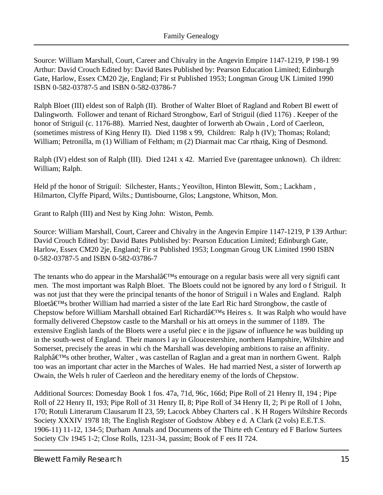Source: William Marshall, Court, Career and Chivalry in the Angevin Empire 1147-1219, P 198-1 99 Arthur: David Crouch Edited by: David Bates Published by: Pearson Education Limited; Edinburgh Gate, Harlow, Essex CM20 2je, England; Fir st Published 1953; Longman Groug UK Limited 1990 ISBN 0-582-03787-5 and ISBN 0-582-03786-7

Ralph Bloet (III) eldest son of Ralph (II). Brother of Walter Bloet of Ragland and Robert Bl ewett of Dalingworth. Follower and tenant of Richard Strongbow, Earl of Striguil (died 1176) . Keeper of the honor of Striguil (c. 1176-88). Married Nest, daughter of Iorwerth ab Owain , Lord of Caerleon, (sometimes mistress of King Henry II). Died 1198 x 99, Children: Ralp h (IV); Thomas; Roland; William; Petronilla, m (1) William of Feltham; m (2) Diarmait mac Car rthaig, King of Desmond.

Ralph (IV) eldest son of Ralph (III). Died 1241 x 42. Married Eve (parentagee unknown). Ch ildren: William; Ralph.

Held pf the honor of Striguil: Silchester, Hants.; Yeovilton, Hinton Blewitt, Som.; Lackham , Hilmarton, Clyffe Pipard, Wilts.; Duntisbourne, Glos; Langstone, Whitson, Mon.

Grant to Ralph (III) and Nest by King John: Wiston, Pemb.

Source: William Marshall, Court, Career and Chivalry in the Angevin Empire 1147-1219, P 139 Arthur: David Crouch Edited by: David Bates Published by: Pearson Education Limited; Edinburgh Gate, Harlow, Essex CM20 2je, England; Fir st Published 1953; Longman Groug UK Limited 1990 ISBN 0-582-03787-5 and ISBN 0-582-03786-7

The tenants who do appear in the Marshal $\hat{a} \in T^{M}$ s entourage on a regular basis were all very signifi cant men. The most important was Ralph Bloet. The Bloets could not be ignored by any lord o f Striguil. It was not just that they were the principal tenants of the honor of Striguil i n Wales and England. Ralph Bloet $\hat{\mathbf{a}} \in \mathbb{R}^N$ s brother William had married a sister of the late Earl Ric hard Strongbow, the castle of Chepstow before William Marshall obtained Earl Richardâ€<sup>TM</sup>sHeires s. It was Ralph who would have formally delivered Chepstow castle to the Marshall or his att orneys in the summer of 1189. The extensive English lands of the Bloets were a useful piec e in the jigsaw of influence he was building up in the south-west of England. Their manors l ay in Gloucestershire, northern Hampshire, Wiltshire and Somerset, precisely the areas in whi ch the Marshall was developing ambitions to raise an affinity. Ralphâ€<sup>™</sup>s other brother, Walter, was castellan of Raglan and a great man in northern Gwent. Ralph too was an important char acter in the Marches of Wales. He had married Nest, a sister of Iorwerth ap Owain, the Wels h ruler of Caerleon and the hereditary enemy of the lords of Chepstow.

Additional Sources: Domesday Book 1 fos. 47a, 71d, 96c, 166d; Pipe Roll of 21 Henry II, 194 ; Pipe Roll of 22 Henry II, 193; Pipe Roll of 31 Henry II, 8; Pipe Roll of 34 Henry II, 2; Pi pe Roll of 1 John, 170; Rotuli Litterarum Clausarum II 23, 59; Lacock Abbey Charters cal . K H Rogers Wiltshire Records Society XXXIV 1978 18; The English Register of Godstow Abbey e d. A Clark (2 vols) E.E.T.S. 1906-11) 11-12, 134-5; Durham Annals and Documents of the Thirte eth Century ed F Barlow Surtees Society Clv 1945 1-2; Close Rolls, 1231-34, passim; Book of F ees II 724.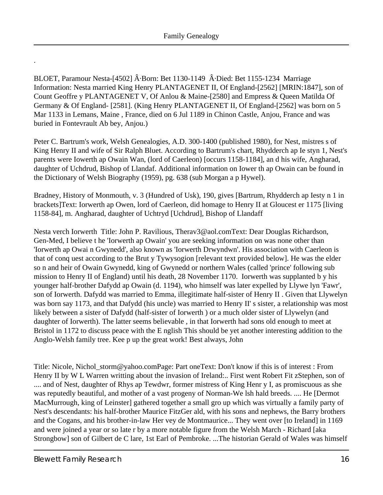BLOET, Paramour Nesta-[4502]  $\hat{A}$ . Born: Bet 1130-1149  $\hat{A}$ . Died: Bet 1155-1234 Marriage Information: Nesta married King Henry PLANTAGENET II, Of England-[2562] [MRIN:1847], son of Count Geoffre y PLANTAGENET V, Of Anlou & Maine-[2580] and Empress & Queen Matilda Of Germany & Of England- [2581]. (King Henry PLANTAGENET II, Of England-[2562] was born on 5 Mar 1133 in Lemans, Maine , France, died on 6 Jul 1189 in Chinon Castle, Anjou, France and was buried in Fontevrault Ab bey, Anjou.)

Peter C. Bartrum's work, Welsh Genealogies, A.D. 300-1400 (published 1980), for Nest, mistres s of King Henry II and wife of Sir Ralph Bluet. According to Bartrum's chart, Rhydderch ap Ie styn 1, Nest's parents were Iowerth ap Owain Wan, (lord of Caerleon) [occurs 1158-1184], an d his wife, Angharad, daughter of Uchdrud, Bishop of Llandaf. Additional information on Iower th ap Owain can be found in the Dictionary of Welsh Biography (1959), pg. 638 (sub Morgan a p Hywel).

Bradney, History of Monmouth, v. 3 (Hundred of Usk), 190, gives [Bartrum, Rhydderch ap Iesty n 1 in brackets] Text: Iorwerth ap Owen, lord of Caerleon, did homage to Henry II at Gloucest er 1175 [living 1158-84], m. Angharad, daughter of Uchtryd [Uchdrud], Bishop of Llandaff

Nesta verch Iorwerth Title: John P. Ravilious, Therav3@aol.com Text: Dear Douglas Richardson, Gen-Med, I believe t he 'Iorwerth ap Owain' you are seeking information on was none other than 'Iorwerth ap Owai n Gwynedd', also known as 'Iorwerth Drwyndwn'. His association with Caerleon is that of conq uest according to the Brut y Tywysogion [relevant text provided below]. He was the elder so n and heir of Owain Gwynedd, king of Gwynedd or northern Wales (called 'prince' following sub mission to Henry II of England) until his death, 28 November 1170. Iorwerth was supplanted b y his younger half-brother Dafydd ap Owain (d. 1194), who himself was later expelled by Llywe lyn 'Fawr', son of Iorwerth. Dafydd was married to Emma, illegitimate half-sister of Henry II . Given that Llywelyn was born say 1173, and that Dafydd (his uncle) was married to Henry II' s sister, a relationship was most likely between a sister of Dafydd (half-sister of Iorwerth ) or a much older sister of Llywelyn (and daughter of Iorwerth). The latter seems believable , in that Iorwerth had sons old enough to meet at Bristol in 1172 to discuss peace with the E nglish This should be yet another interesting addition to the Anglo-Welsh family tree. Kee p up the great work! Best always, John

Title: Nicole, Nichol\_storm@yahoo.com Page: Part one Text: Don't know if this is of interest : From Henry II by W L Warren writting about the invasion of Ireland:.. First went Robert Fit zStephen, son of .... and of Nest, daughter of Rhys ap Tewdwr, former mistress of King Henr y I, as promiscuous as she was reputedly beautiful, and mother of a vast progeny of Norman-We lsh hald breeds. .... He [Dermot MacMurrough, king of Leinster] gathered together a small gro up which was virtually a family party of Nest's descendants: his half-brother Maurice FitzGer ald, with his sons and nephews, the Barry brothers and the Cogans, and his brother-in-law Her vey de Montmaurice... They went over [to Ireland] in 1169 and were joined a year or so late r by a more notable figure from the Welsh March - Richard [aka Strongbow] son of Gilbert de C lare, 1st Earl of Pembroke. ...The historian Gerald of Wales was himself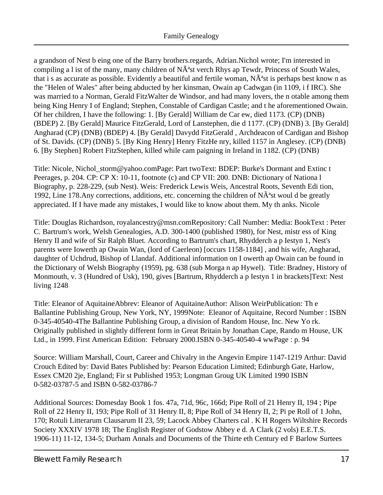a grandson of Nest b eing one of the Barry brothers.regards, Adrian. Nichol wrote; I'm interested in compiling a l ist of the many, many children of  $N\tilde{A}^*$ st verch Rhys ap Tewdr, Princess of South Wales, that i s as accurate as possible. Evidently a beautiful and fertile woman,  $N\tilde{A}^s$ st is perhaps best know n as the "Helen of Wales" after being abducted by her kinsman, Owain ap Cadwgan (in 1109, i f IRC). She was married to a Norman, Gerald FitzWalter de Windsor, and had many lovers, the n otable among them being King Henry I of England; Stephen, Constable of Cardigan Castle; and t he aforementioned Owain. Of her children, I have the following: 1. [By Gerald] William de Car ew, died 1173. (CP) (DNB) (BDEP) 2. [By Gerald] Maurice FitzGerald, Lord of Lanstephen, die d 1177. (CP) (DNB) 3. [By Gerald] Angharad (CP) (DNB) (BDEP) 4. [By Gerald] Davydd FitzGerald , Archdeacon of Cardigan and Bishop of St. Davids. (CP) (DNB) 5. [By King Henry] Henry FitzHe nry, killed 1157 in Anglesey. (CP) (DNB) 6. [By Stephen] Robert FitzStephen, killed while cam paigning in Ireland in 1182. (CP) (DNB)

Title: Nicole, Nichol storm@yahoo.com Page: Part two Text: BDEP: Burke's Dormant and Extinc t Peerages, p. 204. CP: CP X: 10-11, footnote (c) and CP VII: 200. DNB: Dictionary of Nationa l Biography, p. 228-229, (sub Nest). Weis: Frederick Lewis Weis, Ancestral Roots, Seventh Edi tion, 1992, Line 178. Any corrections, additions, etc. concerning the children of  $N\tilde{A}^a$ stwoul d be greatly appreciated. If I have made any mistakes, I would like to know about them. My th anks. Nicole

Title: Douglas Richardson, royalancestry@msn.com Repository: Call Number: Media: Book Text : Peter C. Bartrum's work, Welsh Genealogies, A.D. 300-1400 (published 1980), for Nest, mistr ess of King Henry II and wife of Sir Ralph Bluet. According to Bartrum's chart, Rhydderch a p Iestyn 1, Nest's parents were Iowerth ap Owain Wan, (lord of Caerleon) [occurs 1158-1184] , and his wife, Angharad, daughter of Uchdrud, Bishop of Llandaf. Additional information on I owerth ap Owain can be found in the Dictionary of Welsh Biography (1959), pg. 638 (sub Morga n ap Hywel). Title: Bradney, History of Monmouth, v. 3 (Hundred of Usk), 190, gives [Bartrum, Rhydderch a p Iestyn 1 in brackets] Text: Nest living 1248

Title: Eleanor of Aquitaine Abbrev: Eleanor of Aquitaine Author: Alison Weir Publication: Th e Ballantine Publishing Group, New York, NY, 1999 Note: Eleanor of Aquitaine, RecordNumber : ISBN 0-345-40540-4The Ballantine Publishing Group, a division of Random House, Inc. New Yo rk. Originally published in slightly different form in Great Britain by Jonathan Cape, Rando m House, UK Ltd., in 1999. First American Edition: February 2000.ISBN 0-345-40540-4 wwPage : p. 94

Source: William Marshall, Court, Career and Chivalry in the Angevin Empire 1147-1219 Arthur: David Crouch Edited by: David Bates Published by: Pearson Education Limited; Edinburgh Gate, Harlow, Essex CM20 2je, England; Fir st Published 1953; Longman Groug UK Limited 1990 ISBN 0-582-03787-5 and ISBN 0-582-03786-7

Additional Sources: Domesday Book 1 fos. 47a, 71d, 96c, 166d; Pipe Roll of 21 Henry II, 194 ; Pipe Roll of 22 Henry II, 193; Pipe Roll of 31 Henry II, 8; Pipe Roll of 34 Henry II, 2; Pi pe Roll of 1 John, 170; Rotuli Litterarum Clausarum II 23, 59; Lacock Abbey Charters cal . K H Rogers Wiltshire Records Society XXXIV 1978 18; The English Register of Godstow Abbey e d. A Clark (2 vols) E.E.T.S. 1906-11) 11-12, 134-5; Durham Annals and Documents of the Thirte eth Century ed F Barlow Surtees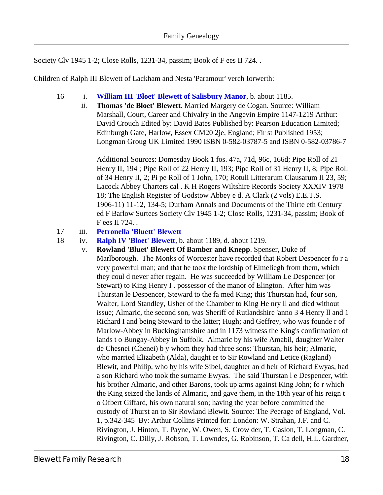Society Clv 1945 1-2; Close Rolls, 1231-34, passim; Book of F ees II 724. .

<span id="page-17-1"></span>Children of Ralph III Blewett of Lackham and Nesta 'Paramour' verch Iorwerth:

- 16 i. **[William III 'Bloet' Blewett of Salisbury Manor](#page-23-1)**, b. about 1185.
	- ii. **Thomas 'de Bloet' Blewett**. Married Margery de Cogan. Source: William Marshall, Court, Career and Chivalry in the Angevin Empire 1147-1219 Arthur: David Crouch Edited by: David Bates Published by: Pearson Education Limited; Edinburgh Gate, Harlow, Essex CM20 2je, England; Fir st Published 1953; Longman Groug UK Limited 1990 ISBN 0-582-03787-5 and ISBN 0-582-03786-7

Additional Sources: Domesday Book 1 fos. 47a, 71d, 96c, 166d; Pipe Roll of 21 Henry II, 194 ; Pipe Roll of 22 Henry II, 193; Pipe Roll of 31 Henry II, 8; Pipe Roll of 34 Henry II, 2; Pi pe Roll of 1 John, 170; Rotuli Litterarum Clausarum II 23, 59; Lacock Abbey Charters cal . K H Rogers Wiltshire Records Society XXXIV 1978 18; The English Register of Godstow Abbey e d. A Clark (2 vols) E.E.T.S. 1906-11) 11-12, 134-5; Durham Annals and Documents of the Thirte eth Century ed F Barlow Surtees Society Clv 1945 1-2; Close Rolls, 1231-34, passim; Book of F ees II 724. .

#### 17 iii. **[Petronella 'Bluett' Blewett](#page-24-0)**

<span id="page-17-0"></span>18 iv. **[Ralph IV 'Bloet' Blewett](#page-25-0)**, b. about 1189, d. about 1219.

v. **Rowland 'Bluet' Blewett Of Bamber and Knepp**. Spenser, Duke of Marlborough. The Monks of Worcester have recorded that Robert Despencer fo r a very powerful man; and that he took the lordship of Elmeliegh from them, which they coul d never after regain. He was succeeded by William Le Despencer (or Stewart) to King Henry I . possessor of the manor of Elington. After him was Thurstan le Despencer, Steward to the fa med King; this Thurstan had, four son, Walter, Lord Standley, Usher of the Chamber to King He nry ll and died without issue; Almaric, the second son, was Sheriff of Rutlandshire 'anno 3 4 Henry ll and 1 Richard I and being Steward to the latter; Hugh; and Geffrey, who was founde r of Marlow-Abbey in Buckinghamshire and in 1173 witness the King's confirmation of lands t o Bungay-Abbey in Suffolk. Almaric by his wife Amabil, daughter Walter de Chesnei (Chenei) b y whom they had three sons: Thurstan, his heir; Almaric, who married Elizabeth (Alda), daught er to Sir Rowland and Letice (Ragland) Blewit, and Philip, who by his wife Sibel, daughter an d heir of Richard Ewyas, had a son Richard who took the surname Ewyas. The said Thurstan l e Despencer, with his brother Almaric, and other Barons, took up arms against King John; fo r which the King seized the lands of Almaric, and gave them, in the 18th year of his reign t o Ofbert Giffard, his own natural son; having the year before committed the custody of Thurst an to Sir Rowland Blewit. Source: The Peerage of England, Vol. 1, p.342-345 By: Arthur Collins Printed for: London: W. Strahan, J.F. and C. Rivington, J. Hinton, T. Payne, W. Owen, S. Crow der, T. Caslon, T. Longman, C. Rivington, C. Dilly, J. Robson, T. Lowndes, G. Robinson, T. Ca dell, H.L. Gardner,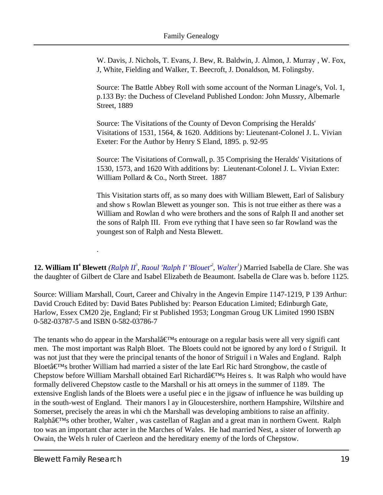W. Davis, J. Nichols, T. Evans, J. Bew, R. Baldwin, J. Almon, J. Murray , W. Fox, J, White, Fielding and Walker, T. Beecroft, J. Donaldson, M. Folingsby.

Source: The Battle Abbey Roll with some account of the Norman Linage's, Vol. 1, p.133 By: the Duchess of Cleveland Published London: John Mussry, Albemarle Street, 1889

Source: The Visitations of the County of Devon Comprising the Heralds' Visitations of 1531, 1564, & 1620. Additions by: Lieutenant-Colonel J. L. Vivian Exeter: For the Author by Henry S Eland, 1895. p. 92-95

Source: The Visitations of Cornwall, p. 35 Comprising the Heralds' Visitations of 1530, 1573, and 1620 With additions by: Lieutenant-Colonel J. L. Vivian Exter: William Pollard & Co., North Street. 1887

This Visitation starts off, as so many does with William Blewett, Earl of Salisbury and show s Rowlan Blewett as younger son. This is not true either as there was a William and Rowlan d who were brothers and the sons of Ralph II and another set the sons of Ralph III. From eve rything that I have seen so far Rowland was the youngest son of Ralph and Nesta Blewett.

<span id="page-18-2"></span><span id="page-18-1"></span><span id="page-18-0"></span>**12. William II<sup>4</sup> Blewett** (*Ralph II<sup>3</sup>, Raoul 'Ralph I' 'Blouet<sup>2</sup>', [Walter](#page-3-0)<sup>1</sup>) Married Isabella de Clare. She was* the daughter of Gilbert de Clare and Isabel Elizabeth de Beaumont. Isabella de Clare was b. before 1125.

Source: William Marshall, Court, Career and Chivalry in the Angevin Empire 1147-1219, P 139 Arthur: David Crouch Edited by: David Bates Published by: Pearson Education Limited; Edinburgh Gate, Harlow, Essex CM20 2je, England; Fir st Published 1953; Longman Groug UK Limited 1990 ISBN 0-582-03787-5 and ISBN 0-582-03786-7

The tenants who do appear in the Marshal $\hat{a} \in T^{M}$ s entourage on a regular basis were all very signifi cant men. The most important was Ralph Bloet. The Bloets could not be ignored by any lord o f Striguil. It was not just that they were the principal tenants of the honor of Striguil i n Wales and England. Ralph Bloet $\hat{a} \in T^{M}$ s brother William had married a sister of the late Earl Ric hard Strongbow, the castle of Chepstow before William Marshall obtained Earl Richardâ€<sup>™</sup>sHeires s. It was Ralph who would have formally delivered Chepstow castle to the Marshall or his att orneys in the summer of 1189. The extensive English lands of the Bloets were a useful piec e in the jigsaw of influence he was building up in the south-west of England. Their manors l ay in Gloucestershire, northern Hampshire, Wiltshire and Somerset, precisely the areas in whi ch the Marshall was developing ambitions to raise an affinity. Ralphâ€<sup>™</sup>s other brother, Walter, was castellan of Raglan and a great man in northern Gwent. Ralph too was an important char acter in the Marches of Wales. He had married Nest, a sister of Iorwerth ap Owain, the Wels h ruler of Caerleon and the hereditary enemy of the lords of Chepstow.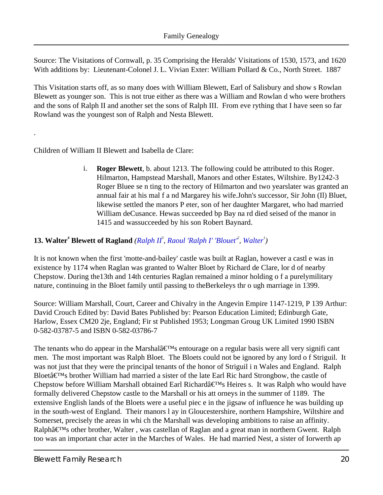Source: The Visitations of Cornwall, p. 35 Comprising the Heralds' Visitations of 1530, 1573, and 1620 With additions by: Lieutenant-Colonel J. L. Vivian Exter: William Pollard & Co., North Street. 1887

This Visitation starts off, as so many does with William Blewett, Earl of Salisbury and show s Rowlan Blewett as younger son. This is not true either as there was a William and Rowlan d who were brothers and the sons of Ralph II and another set the sons of Ralph III. From eve rything that I have seen so far Rowland was the youngest son of Ralph and Nesta Blewett.

<span id="page-19-1"></span>Children of William II Blewett and Isabella de Clare:

.

i. **Roger Blewett**, b. about 1213. The following could be attributed to this Roger. Hilmarton, Hampstead Marshall, Manors and other Estates, Wiltshire. By1242-3 Roger Bluee se n ting to the rectory of Hilmarton and two yearslater was granted an annual fair at his mal f a nd Margarey his wife.John's successor, Sir John (Il) Bluet, likewise settled the manors P eter, son of her daughter Margaret, who had married William deCusance. Hewas succeeded bp Bay na rd died seised of the manor in 1415 and wassucceeded by his son Robert Baynard.

#### <span id="page-19-0"></span>**13. [Walter](#page-3-0)<sup>4</sup> Blewett of Ragland** ([Ralph II](#page-11-2)<sup>3</sup>, Raoul 'Ralph I' 'Blouet<sup>2</sup>, Walter<sup>1</sup>)

It is not known when the first 'motte-and-bailey' castle was built at Raglan, however a castl e was in existence by 1174 when Raglan was granted to Walter Bloet by Richard de Clare, lor d of nearby Chepstow. During the13th and 14th centuries Raglan remained a minor holding o f a purelymilitary nature, continuing in the Bloet family until passing to theBerkeleys thr o ugh marriage in 1399.

Source: William Marshall, Court, Career and Chivalry in the Angevin Empire 1147-1219, P 139 Arthur: David Crouch Edited by: David Bates Published by: Pearson Education Limited; Edinburgh Gate, Harlow, Essex CM20 2je, England; Fir st Published 1953; Longman Groug UK Limited 1990 ISBN 0-582-03787-5 and ISBN 0-582-03786-7

The tenants who do appear in the Marshal $\hat{a} \in T^{M}$ s entourage on a regular basis were all very signifi cant men. The most important was Ralph Bloet. The Bloets could not be ignored by any lord o f Striguil. It was not just that they were the principal tenants of the honor of Striguil i n Wales and England. Ralph Bloet $\hat{a} \in T^{M}$ s brother William had married a sister of the late Earl Ric hard Strongbow, the castle of Chepstow before William Marshall obtained Earl Richardâ€<sup>TM</sup>sHeires s. It was Ralph who would have formally delivered Chepstow castle to the Marshall or his att orneys in the summer of 1189. The extensive English lands of the Bloets were a useful piec e in the jigsaw of influence he was building up in the south-west of England. Their manors l ay in Gloucestershire, northern Hampshire, Wiltshire and Somerset, precisely the areas in whi ch the Marshall was developing ambitions to raise an affinity. Ralphâ€<sup>™</sup>s other brother, Walter, was castellan of Raglan and a great man in northern Gwent. Ralph too was an important char acter in the Marches of Wales. He had married Nest, a sister of Iorwerth ap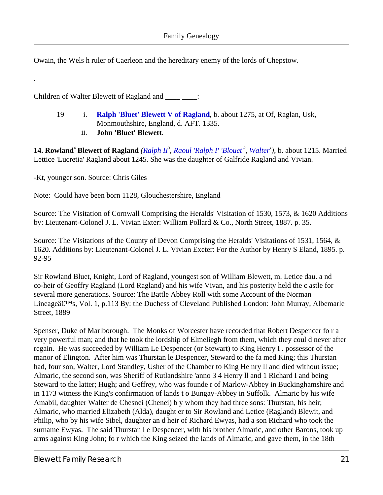Owain, the Wels h ruler of Caerleon and the hereditary enemy of the lords of Chepstow.

Children of Walter Blewett of Ragland and \_\_\_\_ \_\_\_\_:

- 19 i. **[Ralph 'Bluet' Blewett V of Ragland](#page-27-0)**, b. about 1275, at Of, Raglan, Usk, Monmouthshire, England, d. AFT. 1335.
	- ii. **John 'Bluet' Blewett**.

<span id="page-20-3"></span><span id="page-20-2"></span><span id="page-20-1"></span><span id="page-20-0"></span>**14. Rowland<sup>4</sup> Blewett of Ragland** (*[Ralph II](#page-11-2)<sup>3</sup>, Raoul 'Ralph I' 'Blouet<sup>2</sup>, [Walter](#page-3-0)<sup>1</sup>), b. about 1215. Married* Lettice 'Lucretia' Ragland about 1245. She was the daughter of Galfride Ragland and Vivian.

-Kt, younger son. Source: Chris Giles

.

Note: Could have been born 1128, Glouchestershire, England

Source: The Visitation of Cornwall Comprising the Heralds' Visitation of 1530, 1573, & 1620 Additions by: Lieutenant-Colonel J. L. Vivian Exter: William Pollard & Co., North Street, 1887. p. 35.

Source: The Visitations of the County of Devon Comprising the Heralds' Visitations of 1531, 1564, & 1620. Additions by: Lieutenant-Colonel J. L. Vivian Exeter: For the Author by Henry S Eland, 1895. p. 92-95

Sir Rowland Bluet, Knight, Lord of Ragland, youngest son of William Blewett, m. Letice dau. a nd co-heir of Geoffry Ragland (Lord Ragland) and his wife Vivan, and his posterity held the c astle for several more generations. Source: The Battle Abbey Roll with some Account of the Norman Lineage $\hat{\mathbf{a}} \in \mathbb{M}$ s, Vol. 1, p.113 By: the Duchess of Cleveland Published London: John Murray, Albemarle Street, 1889

Spenser, Duke of Marlborough. The Monks of Worcester have recorded that Robert Despencer fo r a very powerful man; and that he took the lordship of Elmeliegh from them, which they coul d never after regain. He was succeeded by William Le Despencer (or Stewart) to King Henry I . possessor of the manor of Elington. After him was Thurstan le Despencer, Steward to the fa med King; this Thurstan had, four son, Walter, Lord Standley, Usher of the Chamber to King He nry ll and died without issue; Almaric, the second son, was Sheriff of Rutlandshire 'anno 3 4 Henry ll and 1 Richard I and being Steward to the latter; Hugh; and Geffrey, who was founde r of Marlow-Abbey in Buckinghamshire and in 1173 witness the King's confirmation of lands t o Bungay-Abbey in Suffolk. Almaric by his wife Amabil, daughter Walter de Chesnei (Chenei) b y whom they had three sons: Thurstan, his heir; Almaric, who married Elizabeth (Alda), daught er to Sir Rowland and Letice (Ragland) Blewit, and Philip, who by his wife Sibel, daughter an d heir of Richard Ewyas, had a son Richard who took the surname Ewyas. The said Thurstan l e Despencer, with his brother Almaric, and other Barons, took up arms against King John; fo r which the King seized the lands of Almaric, and gave them, in the 18th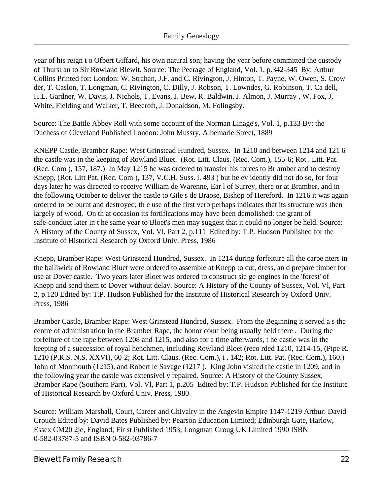year of his reign t o Ofbert Giffard, his own natural son; having the year before committed the custody of Thurst an to Sir Rowland Blewit. Source: The Peerage of England, Vol. 1, p.342-345 By: Arthur Collins Printed for: London: W. Strahan, J.F. and C. Rivington, J. Hinton, T. Payne, W. Owen, S. Crow der, T. Caslon, T. Longman, C. Rivington, C. Dilly, J. Robson, T. Lowndes, G. Robinson, T. Ca dell, H.L. Gardner, W. Davis, J. Nichols, T. Evans, J. Bew, R. Baldwin, J. Almon, J. Murray , W. Fox, J, White, Fielding and Walker, T. Beecroft, J. Donaldson, M. Folingsby.

Source: The Battle Abbey Roll with some account of the Norman Linage's, Vol. 1, p.133 By: the Duchess of Cleveland Published London: John Mussry, Albemarle Street, 1889

KNEPP Castle, Bramber Rape: West Grinstead Hundred, Sussex. In 1210 and between 1214 and 121 6 the castle was in the keeping of Rowland Bluet. (Rot. Litt. Claus. (Rec. Com.), 155-6; Rot . Litt. Pat. (Rec. Com ), 157, 187.) In May 1215 he was ordered to transfer his forces to Br amber and to destroy Knepp, (Rot. Litt Pat. (Rec. Com ), 137, V.C.H. Suss. i. 493 ) but he ev idently did not do so, for four days later he was directed to receive William de Warenne, Ear l of Surrey, there or at Bramber, and in the following October to deliver the castle to Gile s de Braose, Bishop of Hereford. In 1216 it was again ordered to be burnt and destroyed; th e use of the first verb perhaps indicates that its structure was then largely of wood. On th at occasion its fortifications may have been demolished: the grant of safe-conduct later in t he same year to Bloet's men may suggest that it could no longer be held. Source: A History of the County of Sussex, Vol. Vl, Part 2, p.111 Edited by: T.P. Hudson Published for the Institute of Historical Research by Oxford Univ. Press, 1986

Knepp, Bramber Rape: West Grinstead Hundred, Sussex. In 1214 during forfeiture all the carpe nters in the bailiwick of Rowland Bluet were ordered to assemble at Knepp to cut, dress, an d prepare timber for use at Dover castle. Two years later Bloet was ordered to construct sie ge engines in the 'forest' of Knepp and send them to Dover without delay. Source: A History of the County of Sussex, Vol. Vl, Part 2, p.120 Edited by: T.P. Hudson Published for the Institute of Historical Research by Oxford Univ. Press, 1986

Bramber Castle, Bramber Rape: West Grinstead Hundred, Sussex. From the Beginning it served a s the centre of administration in the Bramber Rape, the honor court being usually held there . During the forfeiture of the rape between 1208 and 1215, and also for a time afterwards, t he castle was in the keeping of a succession of royal henchmen, including Rowland Bloet (reco rded 1210, 1214-15, (Pipe R. 1210 (P.R.S. N.S. XXVI), 60-2; Rot. Litt. Claus. (Rec. Com.), i . 142; Rot. Litt. Pat. (Rec. Com.), 160.) John of Monmouth (1215), and Robert le Savage (1217 ). King John visited the castle in 1209, and in the following year the castle was extensivel y repaired. Source: A History of the County Sussex, Bramber Rape (Southern Part), Vol. Vl, Part 1, p.205 Edited by: T.P. Hudson Published for the Institute of Historical Research by Oxford Univ. Press, 1980

Source: William Marshall, Court, Career and Chivalry in the Angevin Empire 1147-1219 Arthur: David Crouch Edited by: David Bates Published by: Pearson Education Limited; Edinburgh Gate, Harlow, Essex CM20 2je, England; Fir st Published 1953; Longman Groug UK Limited 1990 ISBN 0-582-03787-5 and ISBN 0-582-03786-7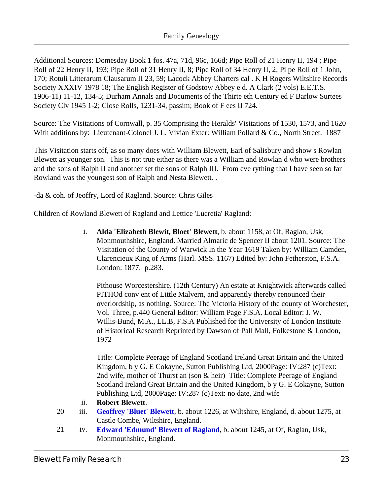Additional Sources: Domesday Book 1 fos. 47a, 71d, 96c, 166d; Pipe Roll of 21 Henry II, 194 ; Pipe Roll of 22 Henry II, 193; Pipe Roll of 31 Henry II, 8; Pipe Roll of 34 Henry II, 2; Pi pe Roll of 1 John, 170; Rotuli Litterarum Clausarum II 23, 59; Lacock Abbey Charters cal . K H Rogers Wiltshire Records Society XXXIV 1978 18; The English Register of Godstow Abbey e d. A Clark (2 vols) E.E.T.S. 1906-11) 11-12, 134-5; Durham Annals and Documents of the Thirte eth Century ed F Barlow Surtees Society Clv 1945 1-2; Close Rolls, 1231-34, passim; Book of F ees II 724.

Source: The Visitations of Cornwall, p. 35 Comprising the Heralds' Visitations of 1530, 1573, and 1620 With additions by: Lieutenant-Colonel J. L. Vivian Exter: William Pollard & Co., North Street. 1887

This Visitation starts off, as so many does with William Blewett, Earl of Salisbury and show s Rowlan Blewett as younger son. This is not true either as there was a William and Rowlan d who were brothers and the sons of Ralph II and another set the sons of Ralph III. From eve rything that I have seen so far Rowland was the youngest son of Ralph and Nesta Blewett. .

-da & coh. of Jeoffry, Lord of Ragland. Source: Chris Giles

<span id="page-22-0"></span>Children of Rowland Blewett of Ragland and Lettice 'Lucretia' Ragland:

i. **Alda 'Elizabeth Blewit, Bloet' Blewett**, b. about 1158, at Of, Raglan, Usk, Monmouthshire, England. Married Almaric de Spencer II about 1201. Source: The Visitation of the County of Warwick In the Year 1619 Taken by: William Camden, Clarencieux King of Arms (Harl. MSS. 1167) Edited by: John Fetherston, F.S.A. London: 1877. p.283.

Pithouse Worcestershire. (12th Century) An estate at Knightwick afterwards called PITHOd conv ent of Little Malvern, and apparently thereby renounced their overlordship, as nothing. Source: The Victoria History of the county of Worchester, Vol. Three, p.440 General Editor: William Page F.S.A. Local Editor: J. W. Willis-Bund, M.A., LL.B, F.S.A Published for the University of London Institute of Historical Research Reprinted by Dawson of Pall Mall, Folkestone & London, 1972

Title: Complete Peerage of England Scotland Ireland Great Britain and the United Kingdom, b y G. E Cokayne, Sutton Publishing Ltd, 2000 Page: IV:287 (c) Text: 2nd wife, mother of Thurst an (son & heir) Title: Complete Peerage of England Scotland Ireland Great Britain and the United Kingdom, b y G. E Cokayne, Sutton Publishing Ltd, 2000 Page: IV:287 (c) Text: no date, 2ndwife

- ii. **Robert Blewett**.
- <span id="page-22-1"></span>20 iii. **[Geoffrey 'Bluet' Blewett](#page-27-1)**, b. about 1226, at Wiltshire, England, d. about 1275, at Castle Combe, Wiltshire, England.
- 21 iv. **[Edward 'Edmund' Blewett of Ragland](#page-27-2)**, b. about 1245, at Of, Raglan, Usk, Monmouthshire, England.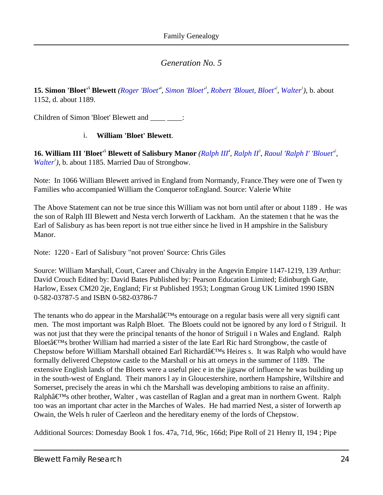<span id="page-23-0"></span>**15. [Simon 'Bloet'](#page-10-0)<sup>5</sup> Blewett** (Roger 'Bloet<sup>4</sup>, Simon 'Bloet<sup>8</sup>, Robert 'Blouet, Bloet<sup>2</sup>, [Walter](#page-3-0)<sup>1</sup>), b. about 1152, d. about 1189.

<span id="page-23-2"></span>Children of Simon 'Bloet' Blewett and \_\_\_\_ \_\_\_\_:

#### i. **William 'Bloet' Blewett**.

<span id="page-23-1"></span>**16. William III 'Bloet'<sup>5</sup> Blewett of Salisbury Manor** [\(Ralph III](#page-13-2)<sup>4</sup>, [Ralph II](#page-11-2)<sup>3</sup>, Raoul 'Ralph I' 'Blouet<sup>2</sup>', [Walter](#page-3-0)<sup>1</sup>), b. about 1185. Married Dau of Strongbow.

<span id="page-23-3"></span>Note: In 1066 William Blewett arrived in England from Normandy, France.They were one of Twen ty Families who accompanied William the Conqueror toEngland. Source: Valerie White

The Above Statement can not be true since this William was not born until after or about 1189 . He was the son of Ralph III Blewett and Nesta verch Iorwerth of Lackham. An the statemen t that he was the Earl of Salisbury as has been report is not true either since he lived in H ampshire in the Salisbury Manor.

Note: 1220 - Earl of Salisbury "not proven' Source: Chris Giles

Source: William Marshall, Court, Career and Chivalry in the Angevin Empire 1147-1219, 139 Arthur: David Crouch Edited by: David Bates Published by: Pearson Education Limited; Edinburgh Gate, Harlow, Essex CM20 2je, England; Fir st Published 1953; Longman Groug UK Limited 1990 ISBN 0-582-03787-5 and ISBN 0-582-03786-7

The tenants who do appear in the Marshal $\hat{a} \in T^{M}$ s entourage on a regular basis were all very signifi cant men. The most important was Ralph Bloet. The Bloets could not be ignored by any lord o f Striguil. It was not just that they were the principal tenants of the honor of Striguil i n Wales and England. Ralph Bloetâ€<sup>™</sup>s brother William had married a sister of the late EarlRic hard Strongbow, the castle of Chepstow before William Marshall obtained Earl Richardâ€<sup>™</sup>sHeires s. It was Ralph who would have formally delivered Chepstow castle to the Marshall or his att orneys in the summer of 1189. The extensive English lands of the Bloets were a useful piec e in the jigsaw of influence he was building up in the south-west of England. Their manors l ay in Gloucestershire, northern Hampshire, Wiltshire and Somerset, precisely the areas in whi ch the Marshall was developing ambitions to raise an affinity. Ralphâ€<sup>™</sup>s other brother, Walter, was castellan of Raglan and a great man in northern Gwent. Ralph too was an important char acter in the Marches of Wales. He had married Nest, a sister of Iorwerth ap Owain, the Wels h ruler of Caerleon and the hereditary enemy of the lords of Chepstow.

Additional Sources: Domesday Book 1 fos. 47a, 71d, 96c, 166d; Pipe Roll of 21 Henry II, 194 ; Pipe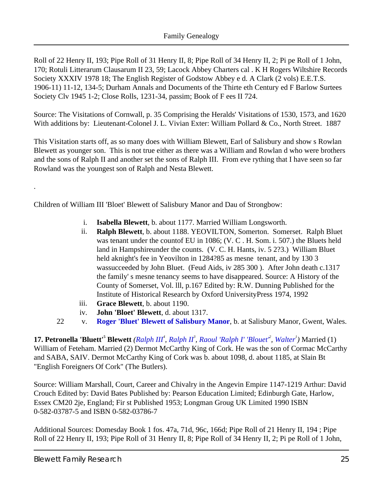Roll of 22 Henry II, 193; Pipe Roll of 31 Henry II, 8; Pipe Roll of 34 Henry II, 2; Pi pe Roll of 1 John, 170; Rotuli Litterarum Clausarum II 23, 59; Lacock Abbey Charters cal . K H Rogers Wiltshire Records Society XXXIV 1978 18; The English Register of Godstow Abbey e d. A Clark (2 vols) E.E.T.S. 1906-11) 11-12, 134-5; Durham Annals and Documents of the Thirte eth Century ed F Barlow Surtees Society Clv 1945 1-2; Close Rolls, 1231-34, passim; Book of F ees II 724.

Source: The Visitations of Cornwall, p. 35 Comprising the Heralds' Visitations of 1530, 1573, and 1620 With additions by: Lieutenant-Colonel J. L. Vivian Exter: William Pollard & Co., North Street. 1887

This Visitation starts off, as so many does with William Blewett, Earl of Salisbury and show s Rowlan Blewett as younger son. This is not true either as there was a William and Rowlan d who were brothers and the sons of Ralph II and another set the sons of Ralph III. From eve rything that I have seen so far Rowland was the youngest son of Ralph and Nesta Blewett.

<span id="page-24-4"></span><span id="page-24-2"></span>Children of William III 'Bloet' Blewett of Salisbury Manor and Dau of Strongbow:

- i. **Isabella Blewett**, b. about 1177. Married William Longsworth.
- ii. **Ralph Blewett**, b. about 1188. YEOVILTON, Somerton. Somerset. Ralph Bluet was tenant under the countof EU in 1086; (V. C . H. Som. i. 507.) the Bluets held land in Hampshireunder the counts. (V. C. H. Hants, iv. 5 2?3.) William Bluet held aknight's fee in Yeovilton in 1284?85 as mesne tenant, and by 130 3 wassucceeded by John Bluet. (Feud Aids, iv 285 300 ). After John death c.1317 the family' s mesne tenancy seems to have disappeared. Source: A History of the County of Somerset, Vol. lll, p.167 Edited by: R.W. Dunning Published for the Institute of Historical Research by Oxford UniversityPress 1974, 1992
- iii. **Grace Blewett**, b. about 1190.
- iv. **John 'Bloet' Blewett**, d. about 1317.
- 22 v. **[Roger 'Bluet' Blewett of Salisbury Manor](#page-29-0)**, b. at Salisbury Manor, Gwent, Wales.

<span id="page-24-8"></span><span id="page-24-7"></span><span id="page-24-6"></span><span id="page-24-5"></span><span id="page-24-3"></span><span id="page-24-1"></span><span id="page-24-0"></span>**17. Petronella 'Bluett'<sup>5</sup> Blewett** [\(Ralph III](#page-13-2)<sup>4</sup>, [Ralph II](#page-11-2)<sup>3</sup>, Raoul 'Ralph I' 'Blouet<sup>2</sup>', [Walter](#page-3-0)<sup>1</sup>) Married (1) William of Feteham. Married (2) Dermot McCarthy King of Cork. He was the son of Cormac McCarthy and SABA, SAIV. Dermot McCarthy King of Cork was b. about 1098, d. about 1185, at Slain Bt "English Foreigners Of Cork" (The Butlers).

Source: William Marshall, Court, Career and Chivalry in the Angevin Empire 1147-1219 Arthur: David Crouch Edited by: David Bates Published by: Pearson Education Limited; Edinburgh Gate, Harlow, Essex CM20 2je, England; Fir st Published 1953; Longman Groug UK Limited 1990 ISBN 0-582-03787-5 and ISBN 0-582-03786-7

Additional Sources: Domesday Book 1 fos. 47a, 71d, 96c, 166d; Pipe Roll of 21 Henry II, 194 ; Pipe Roll of 22 Henry II, 193; Pipe Roll of 31 Henry II, 8; Pipe Roll of 34 Henry II, 2; Pi pe Roll of 1 John,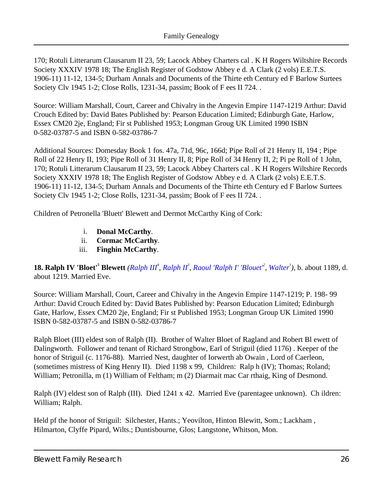170; Rotuli Litterarum Clausarum II 23, 59; Lacock Abbey Charters cal . K H Rogers Wiltshire Records Society XXXIV 1978 18; The English Register of Godstow Abbey e d. A Clark (2 vols) E.E.T.S. 1906-11) 11-12, 134-5; Durham Annals and Documents of the Thirte eth Century ed F Barlow Surtees Society Clv 1945 1-2; Close Rolls, 1231-34, passim; Book of F ees II 724. .

Source: William Marshall, Court, Career and Chivalry in the Angevin Empire 1147-1219 Arthur: David Crouch Edited by: David Bates Published by: Pearson Education Limited; Edinburgh Gate, Harlow, Essex CM20 2je, England; Fir st Published 1953; Longman Groug UK Limited 1990 ISBN 0-582-03787-5 and ISBN 0-582-03786-7

Additional Sources: Domesday Book 1 fos. 47a, 71d, 96c, 166d; Pipe Roll of 21 Henry II, 194 ; Pipe Roll of 22 Henry II, 193; Pipe Roll of 31 Henry II, 8; Pipe Roll of 34 Henry II, 2; Pi pe Roll of 1 John, 170; Rotuli Litterarum Clausarum II 23, 59; Lacock Abbey Charters cal . K H Rogers Wiltshire Records Society XXXIV 1978 18; The English Register of Godstow Abbey e d. A Clark (2 vols) E.E.T.S. 1906-11) 11-12, 134-5; Durham Annals and Documents of the Thirte eth Century ed F Barlow Surtees Society Clv 1945 1-2; Close Rolls, 1231-34, passim; Book of F ees II 724. .

<span id="page-25-2"></span><span id="page-25-1"></span>Children of Petronella 'Bluett' Blewett and Dermot McCarthy King of Cork:

- i. **Donal McCarthy**.
- ii. **Cormac McCarthy**.
- iii. **Finghin McCarthy**.

<span id="page-25-3"></span><span id="page-25-0"></span>**18. Ralph IV 'Bloet'<sup>5</sup> Blewett** ([Ralph III](#page-13-2)<sup>4</sup>, [Ralph II](#page-11-2)<sup>3</sup>, [Raoul 'Ralph I' 'Blouet'](#page-8-0)<sup>2</sup>, [Walter](#page-3-0)<sup>1</sup>), b. about 1189, d. about 1219. Married Eve.

Source: William Marshall, Court, Career and Chivalry in the Angevin Empire 1147-1219; P. 198- 99 Arthur: David Crouch Edited by: David Bates Published by: Pearson Education Limited; Edinburgh Gate, Harlow, Essex CM20 2je, England; Fir st Published 1953; Longman Group UK Limited 1990 ISBN 0-582-03787-5 and ISBN 0-582-03786-7

Ralph Bloet (III) eldest son of Ralph (II). Brother of Walter Bloet of Ragland and Robert Bl ewett of Dalingworth. Follower and tenant of Richard Strongbow, Earl of Striguil (died 1176) . Keeper of the honor of Striguil (c. 1176-88). Married Nest, daughter of Iorwerth ab Owain , Lord of Caerleon, (sometimes mistress of King Henry II). Died 1198 x 99, Children: Ralp h (IV); Thomas; Roland; William; Petronilla, m (1) William of Feltham; m (2) Diarmait mac Car rthaig, King of Desmond.

Ralph (IV) eldest son of Ralph (III). Died 1241 x 42. Married Eve (parentagee unknown). Ch ildren: William; Ralph.

Held pf the honor of Striguil: Silchester, Hants.; Yeovilton, Hinton Blewitt, Som.; Lackham, Hilmarton, Clyffe Pipard, Wilts.; Duntisbourne, Glos; Langstone, Whitson, Mon.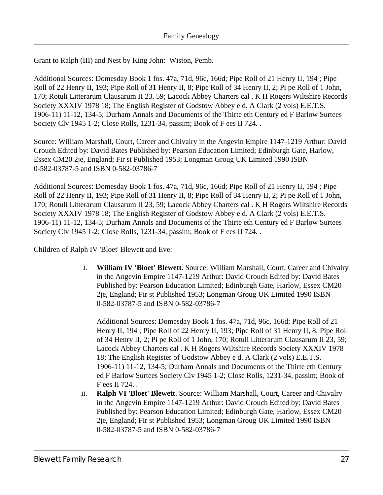Grant to Ralph (III) and Nest by King John: Wiston, Pemb.

Additional Sources: Domesday Book 1 fos. 47a, 71d, 96c, 166d; Pipe Roll of 21 Henry II, 194 ; Pipe Roll of 22 Henry II, 193; Pipe Roll of 31 Henry II, 8; Pipe Roll of 34 Henry II, 2; Pi pe Roll of 1 John, 170; Rotuli Litterarum Clausarum II 23, 59; Lacock Abbey Charters cal . K H Rogers Wiltshire Records Society XXXIV 1978 18; The English Register of Godstow Abbey e d. A Clark (2 vols) E.E.T.S. 1906-11) 11-12, 134-5; Durham Annals and Documents of the Thirte eth Century ed F Barlow Surtees Society Clv 1945 1-2; Close Rolls, 1231-34, passim; Book of F ees II 724. .

Source: William Marshall, Court, Career and Chivalry in the Angevin Empire 1147-1219 Arthur: David Crouch Edited by: David Bates Published by: Pearson Education Limited; Edinburgh Gate, Harlow, Essex CM20 2je, England; Fir st Published 1953; Longman Groug UK Limited 1990 ISBN 0-582-03787-5 and ISBN 0-582-03786-7

Additional Sources: Domesday Book 1 fos. 47a, 71d, 96c, 166d; Pipe Roll of 21 Henry II, 194 ; Pipe Roll of 22 Henry II, 193; Pipe Roll of 31 Henry II, 8; Pipe Roll of 34 Henry II, 2; Pi pe Roll of 1 John, 170; Rotuli Litterarum Clausarum II 23, 59; Lacock Abbey Charters cal . K H Rogers Wiltshire Records Society XXXIV 1978 18; The English Register of Godstow Abbey e d. A Clark (2 vols) E.E.T.S. 1906-11) 11-12, 134-5; Durham Annals and Documents of the Thirte eth Century ed F Barlow Surtees Society Clv 1945 1-2; Close Rolls, 1231-34, passim; Book of F ees II 724. .

<span id="page-26-1"></span>Children of Ralph IV 'Bloet' Blewett and Eve:

i. **William IV 'Bloet' Blewett**. Source: William Marshall, Court, Career and Chivalry in the Angevin Empire 1147-1219 Arthur: David Crouch Edited by: David Bates Published by: Pearson Education Limited; Edinburgh Gate, Harlow, Essex CM20 2je, England; Fir st Published 1953; Longman Groug UK Limited 1990 ISBN 0-582-03787-5 and ISBN 0-582-03786-7

Additional Sources: Domesday Book 1 fos. 47a, 71d, 96c, 166d; Pipe Roll of 21 Henry II, 194 ; Pipe Roll of 22 Henry II, 193; Pipe Roll of 31 Henry II, 8; Pipe Roll of 34 Henry II, 2; Pi pe Roll of 1 John, 170; Rotuli Litterarum Clausarum II 23, 59; Lacock Abbey Charters cal . K H Rogers Wiltshire Records Society XXXIV 1978 18; The English Register of Godstow Abbey e d. A Clark (2 vols) E.E.T.S. 1906-11) 11-12, 134-5; Durham Annals and Documents of the Thirte eth Century ed F Barlow Surtees Society Clv 1945 1-2; Close Rolls, 1231-34, passim; Book of F ees II 724. .

<span id="page-26-0"></span>ii. **Ralph VI 'Bloet' Blewett**. Source: William Marshall, Court, Career and Chivalry in the Angevin Empire 1147-1219 Arthur: David Crouch Edited by: David Bates Published by: Pearson Education Limited; Edinburgh Gate, Harlow, Essex CM20 2je, England; Fir st Published 1953; Longman Groug UK Limited 1990 ISBN 0-582-03787-5 and ISBN 0-582-03786-7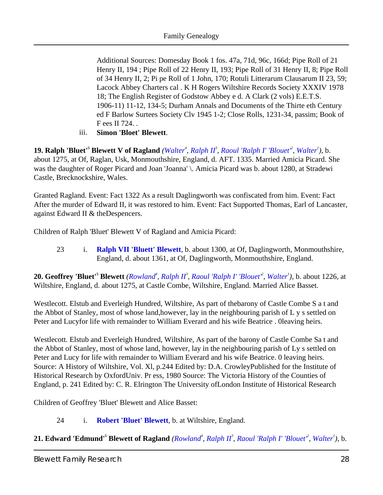Additional Sources: Domesday Book 1 fos. 47a, 71d, 96c, 166d; Pipe Roll of 21 Henry II, 194 ; Pipe Roll of 22 Henry II, 193; Pipe Roll of 31 Henry II, 8; Pipe Roll of 34 Henry II, 2; Pi pe Roll of 1 John, 170; Rotuli Litterarum Clausarum II 23, 59; Lacock Abbey Charters cal . K H Rogers Wiltshire Records Society XXXIV 1978 18; The English Register of Godstow Abbey e d. A Clark (2 vols) E.E.T.S. 1906-11) 11-12, 134-5; Durham Annals and Documents of the Thirte eth Century ed F Barlow Surtees Society Clv 1945 1-2; Close Rolls, 1231-34, passim; Book of F ees II 724. .

iii. **Simon 'Bloet' Blewett**.

<span id="page-27-6"></span><span id="page-27-5"></span><span id="page-27-4"></span><span id="page-27-0"></span>**19. Ralph 'Bluet'<sup>5</sup> Blewett V of Ragland** [\(Walter](#page-19-0)<sup>4</sup>, [Ralph II](#page-11-2)<sup>3</sup>, [Raoul 'Ralph I' 'Blouet'](#page-8-0)<sup>2</sup>, [Walter](#page-3-0)<sup>1</sup>), b. about 1275, at Of, Raglan, Usk, Monmouthshire, England, d. AFT. 1335. Married Amicia Picard. She was the daughter of Roger Picard and Joan 'Joanna' \. Amicia Picard was b. about 1280, at Stradewi Castle, Brecknockshire, Wales.

Granted Ragland. Event: Fact 1322 As a result Daglingworth was confiscated from him. Event: Fact After the murder of Edward II, it was restored to him. Event: Fact Supported Thomas, Earl of Lancaster, against Edward II & theDespencers.

Children of Ralph 'Bluet' Blewett V of Ragland and Amicia Picard:

23 i. **[Ralph VII 'Bluett' Blewett](#page-29-1)**, b. about 1300, at Of, Daglingworth, Monmouthshire, England, d. about 1361, at Of, Daglingworth, Monmouthshire, England.

<span id="page-27-1"></span>**20. Geoffrey 'Bluet'<sup>5</sup> Blewett** *([Rowland](#page-20-0)<sup>4</sup> , [Ralph II](#page-11-2)<sup>3</sup> , [Raoul 'Ralph I' 'Blouet'](#page-8-0)<sup>2</sup> , [Walter](#page-3-0)<sup>1</sup> )*, b. about 1226, at Wiltshire, England, d. about 1275, at Castle Combe, Wiltshire, England. Married Alice Basset.

<span id="page-27-3"></span>Westlecott. Elstub and Everleigh Hundred, Wiltshire, As part of thebarony of Castle Combe S a t and the Abbot of Stanley, most of whose land,however, lay in the neighbouring parish of L y s settled on Peter and Lucyfor life with remainder to William Everard and his wife Beatrice . 0leaving heirs.

Westlecott. Elstub and Everleigh Hundred, Wiltshire, As part of the barony of Castle Combe Sa t and the Abbot of Stanley, most of whose land, however, lay in the neighbouring parish of Ly s settled on Peter and Lucy for life with remainder to William Everard and his wife Beatrice. 0 leaving heirs. Source: A History of Wiltshire, Vol. Xl, p.244 Edited by: D.A. Crowley Published for the Institute of Historical Research by Oxford Univ. Pr ess, 1980 Source: The Victoria History of the Counties of England, p. 241 Edited by: C. R. Elrington The University of London Institute of Historical Research

Children of Geoffrey 'Bluet' Blewett and Alice Basset:

#### 24 i. **[Robert 'Bluet' Blewett](#page-29-2)**, b. at Wiltshire, England.

<span id="page-27-2"></span>21. Edward 'Edmund'<sup>5</sup> Blewett of Ragland (*[Rowland](#page-20-0)<sup>4</sup>, [Ralph II](#page-11-2)<sup>3</sup>, Raoul 'Ralph I' 'Blouet<sup>2</sup>, [Walter](#page-3-0)<sup>1</sup>), b.*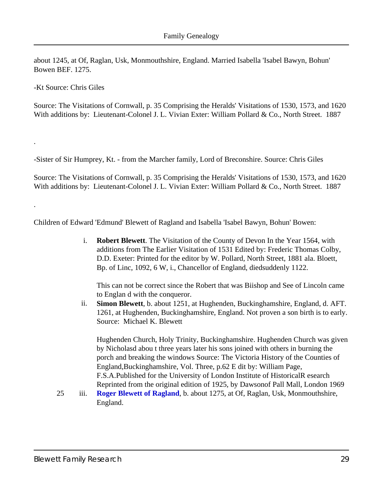<span id="page-28-2"></span>about 1245, at Of, Raglan, Usk, Monmouthshire, England. Married Isabella 'Isabel Bawyn, Bohun' Bowen BEF. 1275.

-Kt Source: Chris Giles

.

.

Source: The Visitations of Cornwall, p. 35 Comprising the Heralds' Visitations of 1530, 1573, and 1620 With additions by: Lieutenant-Colonel J. L. Vivian Exter: William Pollard & Co., North Street. 1887

-Sister of Sir Humprey, Kt. - from the Marcher family, Lord of Breconshire. Source: Chris Giles

Source: The Visitations of Cornwall, p. 35 Comprising the Heralds' Visitations of 1530, 1573, and 1620 With additions by: Lieutenant-Colonel J. L. Vivian Exter: William Pollard & Co., North Street. 1887

<span id="page-28-0"></span>Children of Edward 'Edmund' Blewett of Ragland and Isabella 'Isabel Bawyn, Bohun' Bowen:

i. **Robert Blewett**. The Visitation of the County of Devon In the Year 1564, with additions from The Earlier Visitation of 1531 Edited by: Frederic Thomas Colby, D.D. Exeter: Printed for the editor by W. Pollard, North Street, 1881 ala. Bloett, Bp. of Linc, 1092, 6 W, i., Chancellor of England, diedsuddenly 1122.

This can not be correct since the Robert that was Biishop and See of Lincoln came to Englan d with the conqueror.

<span id="page-28-1"></span>ii. **Simon Blewett**, b. about 1251, at Hughenden, Buckinghamshire, England, d. AFT. 1261, at Hughenden, Buckinghamshire, England. Not proven a son birth is to early. Source: Michael K. Blewett

Hughenden Church, Holy Trinity, Buckinghamshire. Hughenden Church was given by Nicholasd abou t three years later his sons joined with others in burning the porch and breaking the windows Source: The Victoria History of the Counties of England, Buckinghamshire, Vol. Three, p.62E dit by: William Page, F.S.A. Published for the University of London Institute of Historical R esearch Reprinted from the original edition of 1925, by Dawson of Pall Mall, London 1969

25 iii. **[Roger Blewett of Ragland](#page-29-3)**, b. about 1275, at Of, Raglan, Usk, Monmouthshire, England.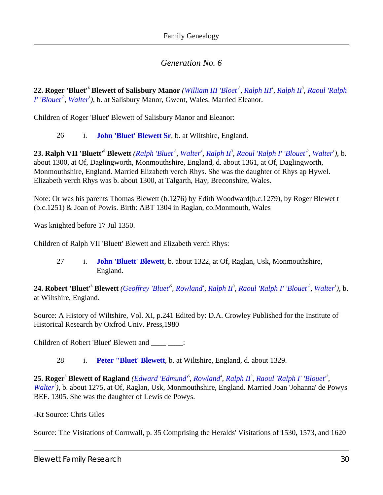<span id="page-29-0"></span>**22. Roger 'Bluet'<sup>6</sup> Blewett of Salisbury Manor** *([William III 'Bloet'](#page-23-1)<sup>5</sup> , [Ralph III](#page-13-2)<sup>4</sup> , [Ralph II](#page-11-2)<sup>3</sup> , [Raoul 'Ralph](#page-8-0) [I' 'Blouet'](#page-8-0)<sup>2</sup> , [Walter](#page-3-0)<sup>1</sup> )*, b. at Salisbury Manor, Gwent, Wales. Married Eleanor.

Children of Roger 'Bluet' Blewett of Salisbury Manor and Eleanor:

26 i. **[John 'Bluet' Blewett Sr](#page-31-0)**, b. at Wiltshire, England.

<span id="page-29-7"></span><span id="page-29-6"></span><span id="page-29-1"></span>23. Ralph VII 'Bluett'<sup>6</sup> Blewett ([Ralph 'Bluet'](#page-27-0)<sup>5</sup>, [Walter](#page-3-0)<sup>4</sup>, [Ralph II](#page-11-2)<sup>3</sup>, [Raoul 'Ralph I' 'Blouet'](#page-8-0)<sup>2</sup>, Walter<sup>1</sup>), b. about 1300, at Of, Daglingworth, Monmouthshire, England, d. about 1361, at Of, Daglingworth, Monmouthshire, England. Married Elizabeth verch Rhys. She was the daughter of Rhys ap Hywel. Elizabeth verch Rhys was b. about 1300, at Talgarth, Hay, Breconshire, Wales.

Note: Or was his parents Thomas Blewett (b.1276) by Edith Woodward(b.c.1279), by Roger Blewet t (b.c.1251) & Joan of Powis. Birth: ABT 1304 in Raglan, co.Monmouth, Wales

Was knighted before 17 Jul 1350.

Children of Ralph VII 'Bluett' Blewett and Elizabeth verch Rhys:

27 i. **[John 'Bluett' Blewett](#page-31-1)**, b. about 1322, at Of, Raglan, Usk, Monmouthshire, England.

<span id="page-29-2"></span>**24. Robert 'Bluet'<sup>6</sup> Blewett** ([Geoffrey 'Bluet'](#page-27-1)<sup>5</sup>, [Rowland](#page-20-0)<sup>4</sup>, [Ralph II](#page-11-2)<sup>3</sup>, [Raoul 'Ralph I' 'Blouet'](#page-8-0)<sup>2</sup>, [Walter](#page-3-0)<sup>1</sup>), b. at Wiltshire, England.

Source: A History of Wiltshire, Vol. XI, p.241 Edited by: D.A. Crowley Published for the Institute of Historical Research by Oxfrod Univ. Press,1980

Children of Robert 'Bluet' Blewett and \_\_\_\_ \_\_\_\_:

28 i. **[Peter "Bluet' Blewett](#page-31-2)**, b. at Wiltshire, England, d. about 1329.

<span id="page-29-5"></span><span id="page-29-4"></span><span id="page-29-3"></span>25. Roger<sup>6</sup> Blewett of Ragland (Edward 'Edmund<sup>8</sup>, [Rowland](#page-20-0)<sup>4</sup>, [Ralph II](#page-11-2)<sup>3</sup>, Raoul 'Ralph I' 'Blouet<sup>2</sup>', *[Walter](#page-3-0)<sup>1</sup> )*, b. about 1275, at Of, Raglan, Usk, Monmouthshire, England. Married Joan 'Johanna' de Powys BEF. 1305. She was the daughter of Lewis de Powys.

-Kt Source: Chris Giles

Source: The Visitations of Cornwall, p. 35 Comprising the Heralds' Visitations of 1530, 1573, and 1620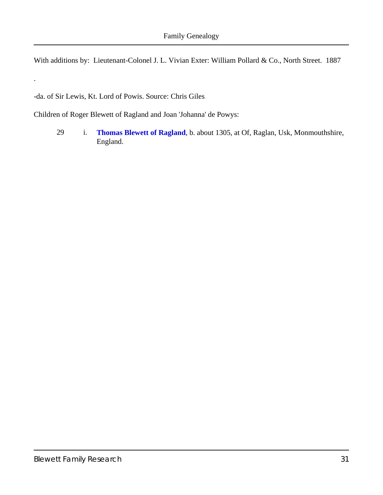With additions by: Lieutenant-Colonel J. L. Vivian Exter: William Pollard & Co., North Street. 1887

-da. of Sir Lewis, Kt. Lord of Powis. Source: Chris Giles

.

Children of Roger Blewett of Ragland and Joan 'Johanna' de Powys:

29 i. **[Thomas Blewett of Ragland](#page-32-0)**, b. about 1305, at Of, Raglan, Usk, Monmouthshire, England.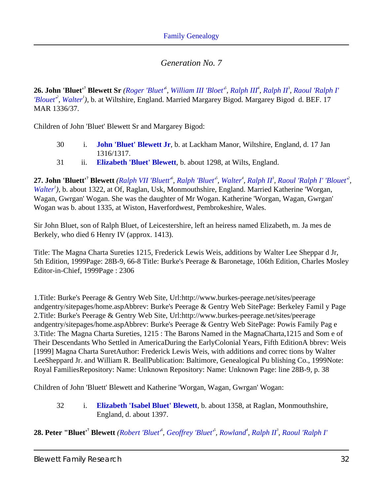<span id="page-31-3"></span><span id="page-31-0"></span>26. John 'Bluet'<sup>7</sup> Blewett Sr ([Roger 'Bluet'](#page-29-0)<sup>6</sup>, [William III 'Bloet'](#page-23-1)<sup>5</sup>, [Ralph III](#page-13-2)<sup>4</sup>, [Ralph II](#page-11-2)<sup>3</sup>, [Raoul 'Ralph I'](#page-8-0) *['Blouet'](#page-8-0)<sup>2</sup> , [Walter](#page-3-0)<sup>1</sup> )*, b. at Wiltshire, England. Married Margarey Bigod. Margarey Bigod d. BEF. 17 MAR 1336/37.

Children of John 'Bluet' Blewett Sr and Margarey Bigod:

- 30 i. **[John 'Bluet' Blewett Jr](#page-33-0)**, b. at Lackham Manor, Wiltshire, England, d. 17 Jan 1316/1317.
- 31 ii. **[Elizabeth 'Bluet' Blewett](#page-33-1)**, b. about 1298, at Wilts, England.

<span id="page-31-5"></span><span id="page-31-4"></span><span id="page-31-1"></span>27. John 'Bluett'<sup>7</sup> Blewett (Ralph VII 'Bluett<sup>6</sup>, Ralph 'Bluet<sup>5</sup>, [Walter](#page-19-0)<sup>4</sup>, [Ralph II](#page-11-2)<sup>3</sup>, Raoul 'Ralph I' 'Blouet<sup>2</sup>, *[Walter](#page-3-0)<sup>1</sup> )*, b. about 1322, at Of, Raglan, Usk, Monmouthshire, England. Married Katherine 'Worgan, Wagan, Gwrgan' Wogan. She was the daughter of Mr Wogan. Katherine 'Worgan, Wagan, Gwrgan' Wogan was b. about 1335, at Wiston, Haverfordwest, Pembrokeshire, Wales.

Sir John Bluet, son of Ralph Bluet, of Leicestershire, left an heiress named Elizabeth, m. Ja mes de Berkely, who died 6 Henry IV (approx. 1413).

Title: The Magna Charta Sureties 1215, Frederick Lewis Weis, additions by Walter Lee Sheppar d Jr, 5th Edition, 1999 Page: 28B-9,66-8 Title: Burke's Peerage & Baronetage, 106th Edition, Charles Mosley Editor-in-Chief, 1999 Page : 2306

1. Title: Burke's Peerage & Gentry Web Site, Url: http://www.burkes-peerage.net/sites/peerage andgentry/sitepages/home.asp Abbrev: Burke's Peerage & Gentry Web Site Page: Berkeley Famil y Page 2. Title: Burke's Peerage & Gentry Web Site, Url: http://www.burkes-peerage.net/sites/peerage andgentry/sitepages/home.asp Abbrev: Burke's Peerage & Gentry Web Site Page: Powis Family Pag e 3. Title: The Magna Charta Sureties, 1215 : The Barons Named in the MagnaCharta, 1215 and Som e of Their Descendants Who Settled in AmericaDuring the Early Colonial Years, Fifth Edition A bbrev: Weis [1999] Magna Charta Suret Author: Frederick Lewis Weis, with additions and correc tions by Walter Lee Sheppard Jr. and William R. Beall Publication: Baltimore, GenealogicaPu blishing Co., 1999 Note: Royal Families Repository: Name: Unknown Repository: Name: Unknown Page: line 28B-9, p. 38

Children of John 'Bluett' Blewett and Katherine 'Worgan, Wagan, Gwrgan' Wogan:

32 i. **[Elizabeth 'Isabel Bluet' Blewett](#page-33-2)**, b. about 1358, at Raglan, Monmouthshire, England, d. about 1397.

<span id="page-31-2"></span>**28. Peter "Bluet'<sup>7</sup> Blewett** *[\(Robert 'Bluet'](#page-29-2)<sup>6</sup> , [Geoffrey 'Bluet'](#page-27-1)<sup>5</sup> , [Rowland](#page-20-0)<sup>4</sup> , [Ralph II](#page-11-2)<sup>3</sup> , Raoul 'Ralph I'*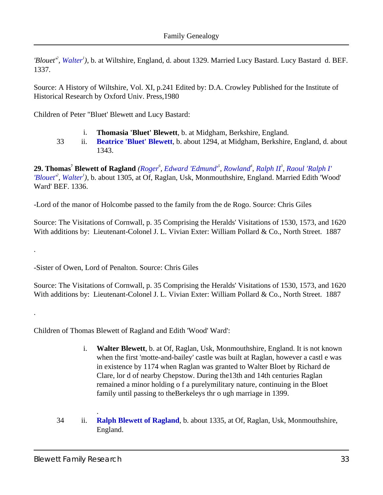<span id="page-32-1"></span>*'Blouet'<sup>2</sup> , [Walter](#page-3-0)<sup>1</sup> )*, b. at Wiltshire, England, d. about 1329. Married Lucy Bastard. Lucy Bastard d. BEF. 1337.

Source: A History of Wiltshire, Vol. XI, p.241 Edited by: D.A. Crowley Published for the Institute of Historical Research by Oxford Univ. Press,1980

<span id="page-32-2"></span>Children of Peter "Bluet' Blewett and Lucy Bastard:

- i. **Thomasia 'Bluet' Blewett**, b. at Midgham, Berkshire, England.
- 33 ii. **[Beatrice 'Bluet' Blewett](#page-35-0)**, b. about 1294, at Midgham, Berkshire, England, d. about 1343.

<span id="page-32-4"></span><span id="page-32-0"></span>**29. Thomas<sup>7</sup> Blewett of Ragland** *[\(Roger](#page-29-3)<sup>6</sup> , [Edward 'Edmund'](#page-27-2)<sup>5</sup> , [Rowland](#page-20-0)<sup>4</sup> , [Ralph II](#page-11-2)<sup>3</sup> , [Raoul 'Ralph I'](#page-8-0) ['Blouet'](#page-8-0)<sup>2</sup> , [Walter](#page-3-0)<sup>1</sup> )*, b. about 1305, at Of, Raglan, Usk, Monmouthshire, England. Married Edith 'Wood' Ward' BEF. 1336.

-Lord of the manor of Holcombe passed to the family from the de Rogo. Source: Chris Giles

Source: The Visitations of Cornwall, p. 35 Comprising the Heralds' Visitations of 1530, 1573, and 1620 With additions by: Lieutenant-Colonel J. L. Vivian Exter: William Pollard & Co., North Street. 1887

-Sister of Owen, Lord of Penalton. Source: Chris Giles

Source: The Visitations of Cornwall, p. 35 Comprising the Heralds' Visitations of 1530, 1573, and 1620 With additions by: Lieutenant-Colonel J. L. Vivian Exter: William Pollard & Co., North Street. 1887

<span id="page-32-3"></span>Children of Thomas Blewett of Ragland and Edith 'Wood' Ward':

- i. **Walter Blewett**, b. at Of, Raglan, Usk, Monmouthshire, England. It is not known when the first 'motte-and-bailey' castle was built at Raglan, however a castl e was in existence by 1174 when Raglan was granted to Walter Bloet by Richard de Clare, lor d of nearby Chepstow. During the13th and 14th centuries Raglan remained a minor holding o f a purelymilitary nature, continuing in the Bloet family until passing to theBerkeleys thr o ugh marriage in 1399.
- 34 ii. **[Ralph Blewett of Ragland](#page-36-0)**, b. about 1335, at Of, Raglan, Usk, Monmouthshire, England.

.

.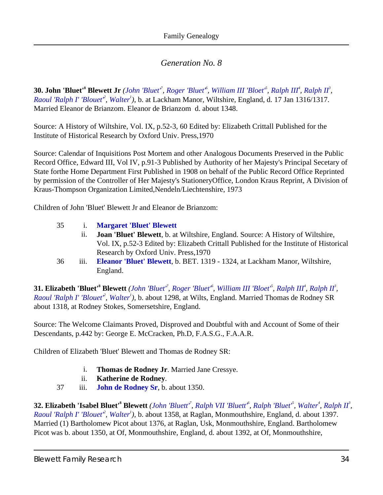<span id="page-33-5"></span><span id="page-33-0"></span>**30. John 'Bluet'<sup>8</sup> Blewett Jr** [\(John 'Bluet'](#page-31-0)<sup>7</sup>, [Roger 'Bluet'](#page-29-0)<sup>6</sup>, [William III 'Bloet'](#page-23-1)<sup>5</sup>, [Ralph III](#page-13-2)<sup>4</sup>, [Ralph II](#page-11-2)<sup>3</sup>, *Raoul 'Ralph I' 'Blouet<sup>2</sup>*, *[Walter](#page-3-0)<sup>1</sup>*), b. at Lackham Manor, Wiltshire, England, d. 17 Jan 1316/1317. Married Eleanor de Brianzom. Eleanor de Brianzom d. about 1348.

Source: A History of Wiltshire, Vol. IX, p.52-3, 60 Edited by: Elizabeth Crittall Published for the Institute of Historical Research by Oxford Univ. Press,1970

Source: Calendar of Inquisitions Post Mortem and other Analogous Documents Preserved in the Public Record Office, Edward III, Vol IV, p.91-3 Published by Authority of her Majesty's Principal Secetary of State forthe Home Department First Published in 1908 on behalf of the Public Record Office Reprinted by permission of the Controller of Her Majesty's StationeryOffice, London Kraus Reprint, A Division of Kraus-Thompson Organization Limited,Nendeln/Liechtenshire, 1973

<span id="page-33-3"></span>Children of John 'Bluet' Blewett Jr and Eleanor de Brianzom:

| 35 | 1.   | <b>Margaret 'Bluet' Blewett</b>                                                         |
|----|------|-----------------------------------------------------------------------------------------|
|    | 11.  | <b>Joan 'Bluet' Blewett, b. at Wiltshire, England. Source: A History of Wiltshire,</b>  |
|    |      | Vol. IX, p.52-3 Edited by: Elizabeth Crittall Published for the Institute of Historical |
|    |      | Research by Oxford Univ. Press, 1970                                                    |
| 36 | 111. | Eleanor 'Bluet' Blewett, b. BET. 1319 - 1324, at Lackham Manor, Wiltshire,              |
|    |      | England.                                                                                |

<span id="page-33-7"></span><span id="page-33-1"></span>**31. Elizabeth 'Bluet'<sup>8</sup> Blewett** [\(John 'Bluet'](#page-31-0)<sup>7</sup>, [Roger 'Bluet'](#page-29-0)<sup>6</sup>, [William III 'Bloet'](#page-23-1)<sup>5</sup>, [Ralph III](#page-13-2)<sup>4</sup>, [Ralph II](#page-11-2)<sup>3</sup>, *Raoul 'Ralph I' 'Blouet<sup>2</sup></sub>*, *[Walter](#page-3-0)<sup>1</sup>*), b. about 1298, at Wilts, England. Married Thomas de Rodney SR about 1318, at Rodney Stokes, Somersetshire, England.

Source: The Welcome Claimants Proved, Disproved and Doubtful with and Account of Some of their Descendants, p.442 by: George E. McCracken, Ph.D, F.A.S.G., F.A.A.R.

<span id="page-33-8"></span><span id="page-33-6"></span>Children of Elizabeth 'Bluet' Blewett and Thomas de Rodney SR:

- i. **Thomas de Rodney Jr**. Married Jane Cressye.
- ii. **Katherine de Rodney**.
- 37 iii. **[John de Rodney Sr](#page-37-2)**, b. about 1350.

<span id="page-33-9"></span><span id="page-33-4"></span><span id="page-33-2"></span>**32. Elizabeth 'Isabel Bluet'<sup>8</sup> Blewett** ([John 'Bluett'](#page-31-1)<sup>7</sup>, [Ralph VII 'Bluett'](#page-29-1)<sup>6</sup>, [Ralph 'Bluet'](#page-27-0)<sup>5</sup>, [Walter](#page-19-0)<sup>4</sup>, [Ralph II](#page-11-2)<sup>3</sup>, *Raoul 'Ralph I' 'Blouet<sup>2</sup>*, *[Walter](#page-3-0)<sup>1</sup>*), b. about 1358, at Raglan, Monmouthshire, England, d. about 1397. Married (1) Bartholomew Picot about 1376, at Raglan, Usk, Monmouthshire, England. Bartholomew Picot was b. about 1350, at Of, Monmouthshire, England, d. about 1392, at Of, Monmouthshire,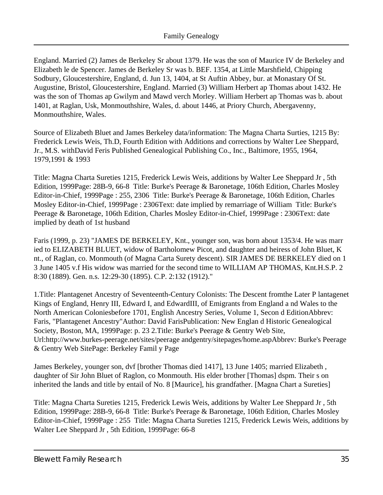<span id="page-34-2"></span><span id="page-34-1"></span><span id="page-34-0"></span>England. Married (2) James de Berkeley Sr about 1379. He was the son of Maurice IV de Berkeley and Elizabeth le de Spencer. James de Berkeley Sr was b. BEF. 1354, at Little Marshfield, Chipping Sodbury, Gloucestershire, England, d. Jun 13, 1404, at St Auftin Abbey, bur. at Monastary Of St. Augustine, Bristol, Gloucestershire, England. Married (3) William Herbert ap Thomas about 1432. He was the son of Thomas ap Gwilym and Mawd verch Morley. William Herbert ap Thomas was b. about 1401, at Raglan, Usk, Monmouthshire, Wales, d. about 1446, at Priory Church, Abergavenny, Monmouthshire, Wales.

Source of Elizabeth Bluet and James Berkeley data/information: The Magna Charta Surties, 1215 By: Frederick Lewis Weis, Th.D, Fourth Edition with Additions and corrections by Walter Lee Sheppard, Jr., M.S. withDavid Feris Published Genealogical Publishing Co., Inc., Baltimore, 1955, 1964, 1979,1991 & 1993

Title: Magna Charta Sureties 1215, Frederick Lewis Weis, additions by Walter Lee Sheppard Jr , 5th Edition, 1999 Page: 28B-9, 66-8 Title: Burke's Peerage & Baronetage, 106th Edition, Charles Mosley Editor-in-Chief, 1999 Page : 255, 2306 Title: Burke's Peerage & Baronetage, 106th Edition, Charles Mosley Editor-in-Chief, 1999 Page : 2306 Text: date implied by remarriage of William Title: Burke's Peerage & Baronetage, 106th Edition, Charles Mosley Editor-in-Chief, 1999 Page : 2306 Text: date implied by death of 1st husband

Faris (1999, p. 23) "JAMES DE BERKELEY, Knt., younger son, was born about 1353/4. He was marr ied to ELIZABETH BLUET, widow of Bartholomew Picot, and daughter and heiress of John Bluet, K nt., of Raglan, co. Monmouth (of Magna Carta Surety descent). SIR JAMES DE BERKELEY died on 1 3 June 1405 v.f His widow was married for the second time to WILLIAM AP THOMAS, Knt. H.S.P.2 8:30 (1889). Gen. n.s. 12:29-30 (1895). C.P. 2:132 (1912)."

1. Title: Plantagenet Ancestry of Seventeenth-Century Colonists: The Descent from the Later P lantagenet Kings of England, Henry III, Edward I, and Edward III, of Emigrants from Englanda nd Wales to the North American Colonies before 1701, English Ancestry Series, Volume 1, Secon d Edition Abbrev: Faris, "Plantagenet Ancestry" Author: David Faris Publication: New Englan d Historic Genealogical Society, Boston, MA, 1999 Page: p.23 2. Title: Burke's Peerage & Gentry Web Site, Url: http://www.burkes-peerage.net/sites/peerageandgentry/sitepages/home.asp Abbrev: Burke's Peerage & Gentry Web Site Page: Berkeley Famil y Page

James Berkeley, younger son, dvf [brother Thomas died 1417], 13 June 1405; married Elizabeth , daughter of Sir John Bluet of Raglon, co Monmouth. His elder brother [Thomas] dspm. Their s on inherited the lands and title by entail of No. 8 [Maurice], his grandfather. [Magna Chart a Sureties]

Title: Magna Charta Sureties 1215, Frederick Lewis Weis, additions by Walter Lee Sheppard Jr , 5th Edition, 1999 Page: 28B-9, 66-8 Title: Burke's Peerage & Baronetage, 106th Edition, Charles Mosley Editor-in-Chief, 1999 Page : 255 Title: Magna Charta Sureties 1215, Frederick Lewis Weis, additions by Walter Lee Sheppard Jr, 5th Edition, 1999 Page: 66-8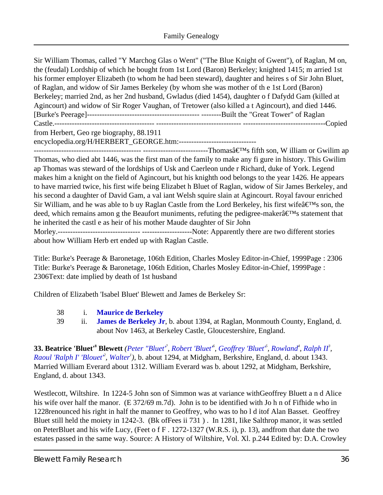Sir William Thomas, called "Y Marchog Glas o Went" ("The Blue Knight of Gwent"), of Raglan, M on, the (feudal) Lordship of which he bought from 1st Lord (Baron) Berkeley; knighted 1415; m arried 1st his former employer Elizabeth (to whom he had been steward), daughter and heires s of Sir John Bluet, of Raglan, and widow of Sir James Berkeley (by whom she was mother of th e 1st Lord (Baron) Berkeley; married 2nd, as her 2nd husband, Gwladus (died 1454), daughter o f Dafydd Gam (killed at Agincourt) and widow of Sir Roger Vaughan, of Tretower (also killed a t Agincourt), and died 1446. [Burke's Peerage]--------------------------------------------- --------Built the "Great Tower" of Raglan Castle.---------------------------------------- ---------------------------------- ---------------------------------Copied from Herbert, Geo rge biography, 88.1911 encyclopedia.org/H/HERBERT\_GEORGE.htm:-------------------------------

------------------------------------------- --------------------------Thomas's fifth son, W illiam or Gwilim ap Thomas, who died abt 1446, was the first man of the family to make any fi gure in history. This Gwilim ap Thomas was steward of the lordships of Usk and Caerleon unde r Richard, duke of York. Legend makes him a knight on the field of Agincourt, but his knighth ood belongs to the year 1426. He appears to have married twice, his first wife being Elizabet h Bluet of Raglan, widow of Sir James Berkeley, and his second a daughter of David Gam, a val iant Welsh squire slain at Agincourt. Royal favour enriched Sir William, and he was able to b uy Raglan Castle from the Lord Berkeley, his first wife's son, the deed, which remains amon g the Beaufort muniments, refuting the pedigree-maker $\hat{\mathbf{a}} \in \mathbb{M}$ s statement that he inherited the castl e as heir of his mother Maude daughter of Sir John Morley.--------------------------------- --------------------Note: Apparently there are two different stories about how William Herb ert ended up with Raglan Castle.

Title: Burke's Peerage & Baronetage, 106th Edition, Charles Mosley Editor-in-Chief, 1999 Page : 2306 Title: Burke's Peerage & Baronetage, 106th Edition, Charles Mosley Editor-in-Chief, 1999 Page : 2306 Text: date implied by death of 1sthusband

Children of Elizabeth 'Isabel Bluet' Blewett and James de Berkeley Sr:

- 38 i. **[Maurice de Berkeley](#page-37-3)**
- 39 ii. **[James de Berkeley Jr](#page-38-0)**, b. about 1394, at Raglan, Monmouth County, England, d. about Nov 1463, at Berkeley Castle, Gloucestershire, England.

<span id="page-35-1"></span><span id="page-35-0"></span>**33.Beatrice 'Bluet'<sup>8</sup> Blewett** (Peter "Bluet", Robert 'Bluet<sup>6</sup>, Geoffrey 'Bluet<sup>5</sup>, [Rowland](#page-20-0)<sup>4</sup>, [Ralph II](#page-11-2)<sup>3</sup>, *Raoul 'Ralph I' 'Blouet<sup>2</sup>*, *[Walter](#page-3-0)<sup>1</sup>*), b. about 1294, at Midgham, Berkshire, England, d. about 1343. Married William Everard about 1312. William Everard was b. about 1292, at Midgham, Berkshire, England, d. about 1343.

Westlecott, Wiltshire. In 1224-5 John son of Simmon was at variance withGeoffrey Bluett a n d Alice his wife over half the manor. (E 372/69 m.7d). John is to be identified with Jo h n of Fifhide who in 1228renounced his right in half the manner to Geoffrey, who was to ho l d itof Alan Basset. Geoffrey Bluet still held the moiety in 1242-3. (Bk ofFees ii 731 ) . In 1281, Iike Salthrop manor, it was settled on PeterBluet and his wife Lucy, (Feet o f F . 1272-1327 (W.R.S. i), p. 13), andfrom that date the two estates passed in the same way. Source: A History of Wiltshire, Vol. Xl. p.244 Edited by: D.A. Crowley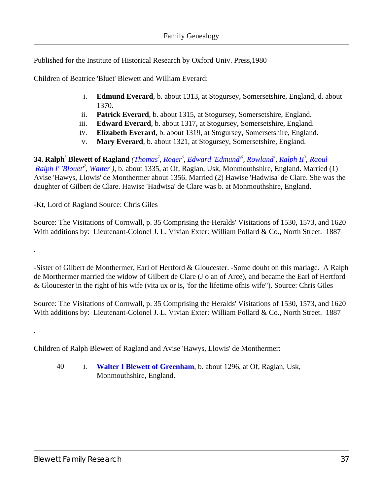Published for the Institute of Historical Research by Oxford Univ. Press,1980

<span id="page-36-7"></span><span id="page-36-4"></span><span id="page-36-3"></span>Children of Beatrice 'Bluet' Blewett and William Everard:

- i. **Edmund Everard**, b. about 1313, at Stogursey, Somersetshire, England, d. about 1370.
- ii. **Patrick Everard**, b. about 1315, at Stogursey, Somersetshire, England.
- iii. **Edward Everard**, b. about 1317, at Stogursey, Somersetshire, England.
- iv. **Elizabeth Everard**, b. about 1319, at Stogursey, Somersetshire, England.
- v. **Mary Everard**, b. about 1321, at Stogursey, Somersetshire, England.

<span id="page-36-6"></span><span id="page-36-5"></span><span id="page-36-1"></span><span id="page-36-0"></span>34. Ralph<sup>8</sup> Blewett of Ragland [\(Thomas](#page-32-0)<sup>7</sup>, [Roger](#page-29-3)<sup>6</sup>, [Edward 'Edmund'](#page-27-2)<sup>5</sup>, [Rowland](#page-20-0)<sup>4</sup>, [Ralph II](#page-11-2)<sup>3</sup>, [Raoul](#page-8-0) *['Ralph I' 'Blouet'](#page-8-0)<sup>2</sup> , [Walter](#page-3-0)<sup>1</sup> )*, b. about 1335, at Of, Raglan, Usk, Monmouthshire, England. Married (1) Avise 'Hawys, Llowis' de Monthermer about 1356. Married (2) Hawise 'Hadwisa' de Clare. She was the daughter of Gilbert de Clare. Hawise 'Hadwisa' de Clare was b. at Monmouthshire, England.

<span id="page-36-2"></span>-Kt, Lord of Ragland Source: Chris Giles

.

.

Source: The Visitations of Cornwall, p. 35 Comprising the Heralds' Visitations of 1530, 1573, and 1620 With additions by: Lieutenant-Colonel J. L. Vivian Exter: William Pollard & Co., North Street. 1887

-Sister of Gilbert de Monthermer, Earl of Hertford & Gloucester. -Some doubt on this mariage. A Ralph de Morthermer married the widow of Gilbert de Clare (J o an of Arce), and became the Earl of Hertford & Gloucester in the right of his wife (vita ux or is, 'for the lifetime ofhis wife"). Source: Chris Giles

Source: The Visitations of Cornwall, p. 35 Comprising the Heralds' Visitations of 1530, 1573, and 1620 With additions by: Lieutenant-Colonel J. L. Vivian Exter: William Pollard & Co., North Street. 1887

Children of Ralph Blewett of Ragland and Avise 'Hawys, Llowis' de Monthermer:

40 i. **[Walter I Blewett of Greenham](#page-40-0)**, b. about 1296, at Of, Raglan, Usk, Monmouthshire, England.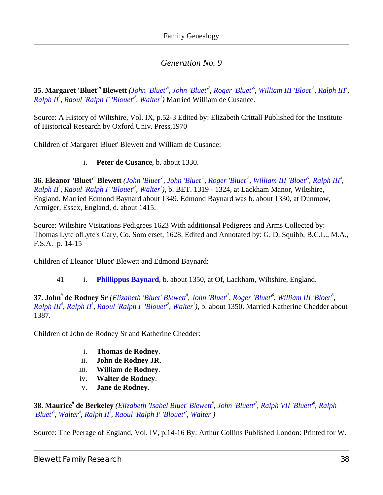<span id="page-37-0"></span>35. Margaret 'Bluet'<sup>9</sup> Blewett ([John 'Bluet'](#page-31-0)<sup>8</sup>, John 'Bluet'<sup>7</sup>, [Roger 'Bluet'](#page-29-0)<sup>6</sup>, [William III 'Bloet'](#page-23-1)<sup>5</sup>, [Ralph III](#page-13-2)<sup>4</sup>, *[Ralph II](#page-11-2)<sup>3</sup> , [Raoul 'Ralph I' 'Blouet'](#page-8-0)<sup>2</sup> , [Walter](#page-3-0)<sup>1</sup> )* Married William de Cusance.

<span id="page-37-7"></span>Source: A History of Wiltshire, Vol. IX, p.52-3 Edited by: Elizabeth Crittall Published for the Institute of Historical Research by Oxford Univ. Press,1970

<span id="page-37-6"></span>Children of Margaret 'Bluet' Blewett and William de Cusance:

#### i. **Peter de Cusance**, b. about 1330.

<span id="page-37-4"></span><span id="page-37-1"></span>36. Eleanor 'Bluet'<sup>9</sup> Blewett [\(John 'Bluet'](#page-33-0)<sup>8</sup>, [John 'Bluet'](#page-31-0)<sup>7</sup>, [Roger 'Bluet'](#page-29-0)<sup>6</sup>, [William III 'Bloet'](#page-23-1)<sup>8</sup>, [Ralph III](#page-13-2)<sup>4</sup>, *[Ralph II](#page-11-2)<sup>3</sup> , [Raoul 'Ralph I' 'Blouet'](#page-8-0)<sup>2</sup> , [Walter](#page-3-0)<sup>1</sup> )*, b. BET. 1319 - 1324, at Lackham Manor, Wiltshire, England. Married Edmond Baynard about 1349. Edmond Baynard was b. about 1330, at Dunmow, Armiger, Essex, England, d. about 1415.

Source: Wiltshire Visitations Pedigrees 1623 With additionsal Pedigrees and Arms Collected by: Thomas Lyte ofLyte's Cary, Co. Som erset, 1628. Edited and Annotated by: G. D. Squibb, B.C.L., M.A., F.S.A. p. 14-15

Children of Eleanor 'Bluet' Blewett and Edmond Baynard:

41 i. **[Phillippus Baynard](#page-42-0)**, b. about 1350, at Of, Lackham, Wiltshire, England.

<span id="page-37-5"></span><span id="page-37-2"></span>**37. John<sup>9</sup> de Rodney Sr** *([Elizabeth 'Bluet' Blewett](#page-33-1)<sup>8</sup> , [John 'Bluet'](#page-31-0)<sup>7</sup> , [Roger 'Bluet'](#page-29-0)<sup>6</sup> , [William III 'Bloet'](#page-23-1)<sup>5</sup> , [Ralph III](#page-13-2)<sup><sup>4</sup></sup>, [Ralph II](#page-11-2)<sup>3</sup>, <i>Raoul 'Ralph I' 'Blouet<sup>2</sup>*, *Walter<sup>1</sup>*), b. about 1350. Married Katherine Chedder about 1387.

<span id="page-37-12"></span><span id="page-37-10"></span><span id="page-37-9"></span>Children of John de Rodney Sr and Katherine Chedder:

- i. **Thomas de Rodney**.
- ii. **John de Rodney JR**.
- iii. **William de Rodney**.
- iv. **Walter de Rodney**.
- v. **Jane de Rodney**.

<span id="page-37-11"></span><span id="page-37-8"></span><span id="page-37-3"></span>**38. Maurice<sup>9</sup> de Berkeley** *([Elizabeth 'Isabel Bluet' Blewett](#page-33-2)<sup>8</sup> , [John 'Bluett'](#page-31-1)<sup>7</sup> , [Ralph VII 'Bluett'](#page-29-1)<sup>6</sup> , [Ralph](#page-27-0) ['Bluet'](#page-27-0)<sup>5</sup> , [Walter](#page-19-0)<sup>4</sup> , [Ralph II](#page-11-2)<sup>3</sup> , [Raoul 'Ralph I' 'Blouet'](#page-8-0)<sup>2</sup> , [Walter](#page-3-0)<sup>1</sup> )*

Source: The Peerage of England, Vol. IV, p.14-16 By: Arthur Collins Published London: Printed for W.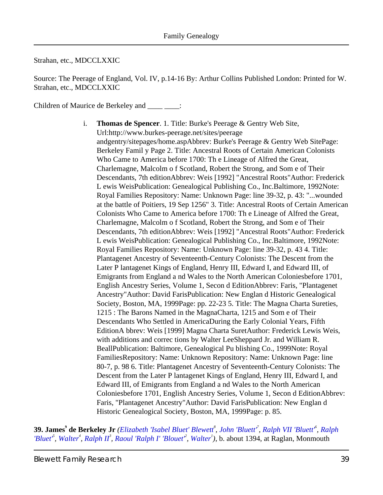Strahan, etc., MDCCLXXIC

Source: The Peerage of England, Vol. IV, p.14-16 By: Arthur Collins Published London: Printed for W. Strahan, etc., MDCCLXXIC

<span id="page-38-1"></span>Children of Maurice de Berkeley and \_\_\_\_\_\_\_:

i. **Thomas de Spencer**. 1. Title: Burke's Peerage & Gentry Web Site, Url: http://www.burkes-peerage.net/sites/peerage andgentry/sitepages/home.asp Abbrev: Burke's Peerage & Gentry Web Site Page: Berkeley Famil y Page 2. Title: Ancestral Roots of Certain American Colonists Who Came to America before 1700: Th e Lineage of Alfred the Great, Charlemagne, Malcolm o f Scotland, Robert the Strong, and Som e of Their Descendants, 7th edition Abbrev: Weis [1992] "Ancestral Roots" Author: Frederick L ewis Weis Publication: Genealogical Publishing Co., Inc.Baltimore, 1992 Note: Royal Families Repository: Name: Unknown Page: line 39-32, p. 43: "...wounded at the battle of Poitiers, 19 Sep 1256" 3. Title: Ancestral Roots of Certain American Colonists Who Came to America before 1700: Th e Lineage of Alfred the Great, Charlemagne, Malcolm o f Scotland, Robert the Strong, and Som e of Their Descendants, 7th edition Abbrev: Weis [1992] "Ancestral Roots" Author: Frederick L ewis Weis Publication: Genealogical Publishing Co., Inc.Baltimore, 1992 Note: Royal Families Repository: Name: Unknown Page: line 39-32, p. 43 4. Title: Plantagenet Ancestry of Seventeenth-Century Colonists: The Descent from the Later P lantagenet Kings of England, Henry III, Edward I, and Edward III, of Emigrants from England a nd Wales to the North American Colonies before 1701, English Ancestry Series, Volume 1, Secon d EditionAbbrev: Faris, "Plantagenet Ancestry" Author: David Faris Publication: New Englan d Historic Genealogical Society, Boston, MA, 1999 Page: pp. 22-23 5. Title: The Magna Charta Sureties, 1215 : The Barons Named in the MagnaCharta, 1215 and Som e of Their Descendants Who Settled in AmericaDuring the Early Colonial Years, Fifth Edition Abbrev: Weis [1999] Magna Charta Suret Author: Frederick Lewis Weis, with additions and correc tions by Walter Lee Sheppard Jr. and William R. Beall Publication: Baltimore, Genealogical Pu blishing Co., 1999 Note: Royal Families Repository: Name: Unknown Repository: Name: Unknown Page: line 80-7, p. 98 6. Title: Plantagenet Ancestry of Seventeenth-Century Colonists: The Descent from the Later P lantagenet Kings of England, Henry III, Edward I, and Edward III, of Emigrants from England a nd Wales to the North American Colonies before 1701, English Ancestry Series, Volume 1, Secon d Edition Abbrev: Faris, "Plantagenet Ancestry" Author: David Faris Publication: New Englan d Historic Genealogical Society, Boston, MA, 1999 Page: p.85.

<span id="page-38-0"></span>**39. James<sup>9</sup> de Berkeley Jr** *([Elizabeth 'Isabel Bluet' Blewett](#page-33-2)<sup>8</sup> , [John 'Bluett'](#page-31-1)<sup>7</sup> , [Ralph VII 'Bluett'](#page-29-1)<sup>6</sup> , [Ralph](#page-27-0) ['Bluet'](#page-27-0)<sup>5</sup> , [Walter](#page-19-0)<sup>4</sup> , [Ralph II](#page-11-2)<sup>3</sup> , [Raoul 'Ralph I' 'Blouet'](#page-8-0)<sup>2</sup> , [Walter](#page-3-0)<sup>1</sup> )*, b. about 1394, at Raglan, Monmouth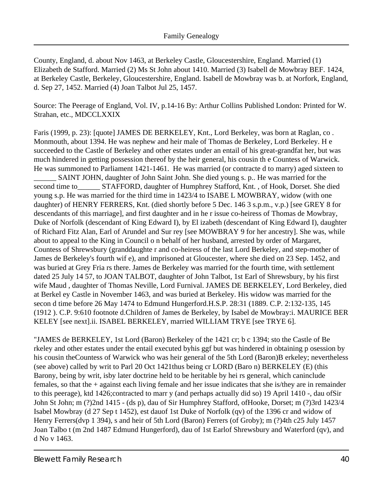<span id="page-39-1"></span><span id="page-39-0"></span>County, England, d. about Nov 1463, at Berkeley Castle, Gloucestershire, England. Married (1) Elizabeth de Stafford. Married (2) Ms St John about 1410. Married (3) Isabell de Mowbray BEF. 1424, at Berkeley Castle, Berkeley, Gloucestershire, England. Isabell de Mowbray was b. at Norfork, England, d. Sep 27, 1452. Married (4) Joan Talbot Jul 25, 1457.

<span id="page-39-2"></span>Source: The Peerage of England, Vol. IV, p.14-16 By: Arthur Collins Published London: Printed for W. Strahan, etc., MDCCLXXIX

Faris (1999, p. 23): [quote] JAMES DE BERKELEY, Knt., Lord Berkeley, was born at Raglan, co . Monmouth, about 1394. He was nephew and heir male of Thomas de Berkeley, Lord Berkeley. H e succeeded to the Castle of Berkeley and other estates under an entail of his great-grandfat her, but was much hindered in getting possession thereof by the heir general, his cousin th e Countess of Warwick. He was summoned to Parliament 1421-1461. He was married (or contracte d to marry) aged sixteen to

SAINT JOHN, daughter of John Saint John. She died young s. p.. He was married for the second time to\_\_\_\_\_\_ STAFFORD, daughter of Humphrey Stafford, Knt. , of Hook, Dorset. She died young s.p. He was married for the third time in 1423/4 to ISABE L MOWBRAY, widow (with one daughter) of HENRY FERRERS, Knt. (died shortly before 5 Dec. 146 3 s.p.m., v.p.) [see GREY 8 for descendants of this marriage], and first daughter and in he r issue co-heiress of Thomas de Mowbray, Duke of Norfolk (descendant of King Edward I), by El izabeth (descendant of King Edward I), daughter of Richard Fitz Alan, Earl of Arundel and Sur rey [see MOWBRAY 9 for her ancestry]. She was, while about to appeal to the King in Council o n behalf of her husband, arrested by order of Margaret, Countess of Shrewsbury (granddaughte r and co-heiress of the last Lord Berkeley, and step-mother of James de Berkeley's fourth wif e), and imprisoned at Gloucester, where she died on 23 Sep. 1452, and was buried at Grey Fria rs there. James de Berkeley was married for the fourth time, with settlement dated 25 July 14 57, to JOAN TALBOT, daughter of John Talbot, 1st Earl of Shrewsbury, by his first wife Maud , daughter of Thomas Neville, Lord Furnival. JAMES DE BERKELEY, Lord Berkeley, died at Berkel ey Castle in November 1463, and was buried at Berkeley. His widow was married for the secon d time before 26 May 1474 to Edmund Hungerford.H.S.P. 28:31 (1889. C.P. 2:132-135, 145 (1912 ). C.P. 9:610 footnote d.Children of James de Berkeley, by Isabel de Mowbray:i. MAURICE BER KELEY [see next]. ii. ISABEL BERKELEY, married WILLIAM TRYE [see TRYE6].

"JAMES de BERKELEY, 1st Lord (Baron) Berkeley of the 1421 cr; b c 1394; sto the Castle of Be rkeley and other estates under the entail executed by his ggf but was hindered in obtaining posession by his cousin the Countess of Warwick who was heir general of the 5th Lord (Baron) B erkeley; nevertheless (see above) called by writ to Parl 20 Oct 1421 thus being  $cr$  LORD (Baro n) BERKELEY (E) (this Barony, being by writ, is by later doctrine held to be heritable by heirs general, which can include females, so that the + against each living female and her issue indicates that she is/they are in remainder to this peerage), ktd 1426; contracted to marr y (and perhaps actually did so) 19 April 1410 -, dau of Sir John St John; m (?)2nd 1415 - (ds p), dau of Sir Humphrey Stafford, of Hooke, Dorset; m (?)3rd 1423/4 Isabel Mowbray (d 27 Sep t 1452), est dauof 1st Duke of Norfolk (qv) of the 1396 cr and widow of Henry Ferrers (dvp 1 394), s and heir of 5th Lord (Baron) Ferrers (of Groby); m (?)4th c 25 July 1457 Joan Talbo t (m 2nd 1487 Edmund Hungerford), dau of 1st Earlof Shrewsbury and Waterford (qv), and d No v 1463.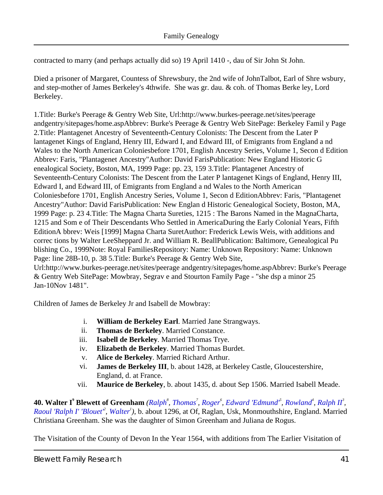contracted to marry (and perhaps actually did so) 19 April 1410 -, dau of Sir John St John.

Died a prisoner of Margaret, Countess of Shrewsbury, the 2nd wife of JohnTalbot, Earl of Shre wsbury, and step-mother of James Berkeley's 4thwife. She was gr. dau. & coh. of Thomas Berke ley, Lord Berkeley.

1. Title: Burke's Peerage & Gentry Web Site, Url: http://www.burkes-peerage.net/sites/peerage andgentry/sitepages/home.asp Abbrev: Burke's Peerage & Gentry Web Site Page: Berkeley Famil y Page 2. Title: Plantagenet Ancestry of Seventeenth-Century Colonists: The Descent from the LaterP lantagenet Kings of England, Henry III, Edward I, and Edward III, of Emigrants from England a nd Wales to the North American Colonies before 1701, English Ancestry Series, Volume 1, Secon d Edition Abbrev: Faris, "Plantagenet Ancestry" Author: David Faris Publication: New England Historic G enealogical Society, Boston, MA, 1999 Page: pp. 23, 159 3. Title: Plantagenet Ancestry of Seventeenth-Century Colonists: The Descent from the Later P lantagenet Kings of England, Henry III, Edward I, and Edward III, of Emigrants from England a nd Wales to the North American Colonies before 1701, English Ancestry Series, Volume 1, Secon d Edition Abbrev: Faris, "Plantagenet Ancestry" Author: David Faris Publication: New Englan d Historic Genealogical Society, Boston, MA, 1999 Page: p. 23 4. Title: The Magna Charta Sureties, 1215 : The Barons Named in the MagnaCharta, 1215 and Som e of Their Descendants Who Settled in AmericaDuring the Early Colonial Years, Fifth Edition Abbrev: Weis [1999] Magna Charta Suret Author: Frederick Lewis Weis, with additions and correc tions by Walter Lee Sheppard Jr. and William R. Beall Publication: Baltimore, GenealogicaPu blishing Co., 1999 Note: Roya Families Repository: Name: Unknown Repository: Name: Unknown Page: line 28B-10, p. 38 5. Title: Burke's Peerage & Gentry Web Site,

Url: http://www.burkes-peerage.net/sites/peerage andgentry/sitepages/home.asp Abbrev: Burke's Peerage & Gentry Web SitePage: Mowbray, Segrav e and Stourton Family Page - "she dsp a minor 25 Jan-10Nov 1481".

<span id="page-40-7"></span><span id="page-40-6"></span><span id="page-40-3"></span><span id="page-40-2"></span><span id="page-40-1"></span>Children of James de Berkeley Jr and Isabell de Mowbray:

- i. **William de Berkeley Earl**. Married Jane Strangways.
- ii. **Thomas de Berkeley**. Married Constance.
- iii. **Isabell de Berkeley**. Married Thomas Trye.
- iv. **Elizabeth de Berkeley**. Married Thomas Burdet.
- v. **Alice de Berkeley**. Married Richard Arthur.
- vi. **James de Berkeley III**, b. about 1428, at Berkeley Castle, Gloucestershire, England, d. at France.
- vii. **Maurice de Berkeley**, b. about 1435, d. about Sep 1506. Married Isabell Meade.

<span id="page-40-9"></span><span id="page-40-8"></span><span id="page-40-5"></span><span id="page-40-4"></span><span id="page-40-0"></span>**40.Walter I<sup>o</sup> Blewett of Greenham** ([Ralph](#page-36-0)<sup>8</sup>, [Thomas](#page-32-0)<sup>7</sup>, [Roger](#page-29-3)<sup>6</sup>, [Edward 'Edmund'](#page-27-2)<sup>s</sup>, [Rowland](#page-20-0)<sup>4</sup>, [Ralph II](#page-11-2)<sup>3</sup>, *Raoul 'Ralph I' 'Blouet<sup>2</sup>*, *[Walter](#page-3-0)<sup>1</sup>*), b. about 1296, at Of, Raglan, Usk, Monmouthshire, England. Married Christiana Greenham. She was the daughter of Simon Greenham and Juliana de Rogus.

The Visitation of the County of Devon In the Year 1564, with additions from The Earlier Visitation of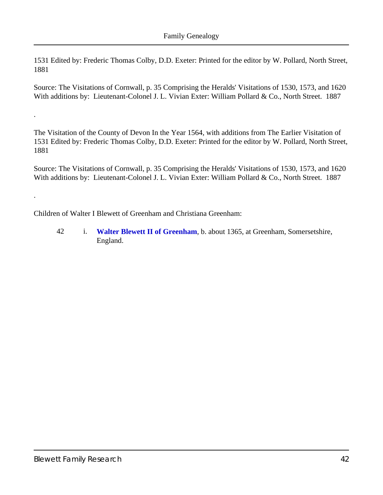1531 Edited by: Frederic Thomas Colby, D.D. Exeter: Printed for the editor by W. Pollard, North Street, 1881

Source: The Visitations of Cornwall, p. 35 Comprising the Heralds' Visitations of 1530, 1573, and 1620 With additions by: Lieutenant-Colonel J. L. Vivian Exter: William Pollard & Co., North Street. 1887

The Visitation of the County of Devon In the Year 1564, with additions from The Earlier Visitation of 1531 Edited by: Frederic Thomas Colby, D.D. Exeter: Printed for the editor by W. Pollard, North Street, 1881

Source: The Visitations of Cornwall, p. 35 Comprising the Heralds' Visitations of 1530, 1573, and 1620 With additions by: Lieutenant-Colonel J. L. Vivian Exter: William Pollard & Co., North Street. 1887

Children of Walter I Blewett of Greenham and Christiana Greenham:

42 i. **[Walter Blewett II of Greenham](#page-42-1)**, b. about 1365, at Greenham, Somersetshire, England.

.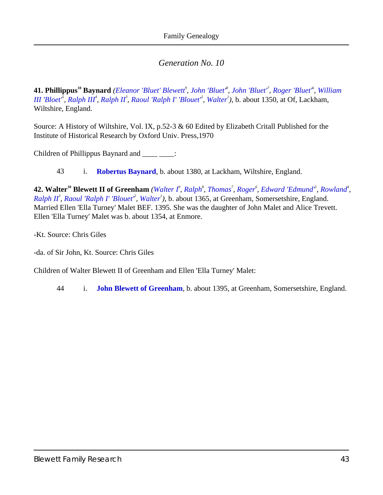<span id="page-42-0"></span>41. Phillippus<sup>10</sup> Baynard ([Eleanor 'Bluet' Blewett](#page-37-1)<sup>9</sup>, [John 'Bluet'](#page-31-0)<sup>8</sup>, John 'Bluet'<sup>7</sup>, [Roger 'Bluet'](#page-29-0)<sup>6</sup>, [William](#page-23-1) *[III 'Bloet'](#page-23-1)<sup>5</sup>, [Ralph III](#page-13-2)<sup>4</sup>, [Ralph II](#page-11-2)<sup>3</sup>, [Raoul 'Ralph I' 'Blouet'](#page-8-0)<sup>2</sup>, [Walter](#page-3-0)<sup>1</sup>), b. about 1350, at Of, Lackham,* Wiltshire, England.

Source: A History of Wiltshire, Vol. IX, p.52-3 & 60 Edited by Elizabeth Critall Published for the Institute of Historical Research by Oxford Univ. Press,1970

Children of Phillippus Baynard and \_\_\_\_\_\_\_:

43 i. **[Robertus Baynard](#page-43-0)**, b. about 1380, at Lackham, Wiltshire, England.

<span id="page-42-3"></span><span id="page-42-2"></span><span id="page-42-1"></span>**42. Walter<sup>10</sup> Blewett II of Greenham** ([Walter I](#page-40-0)<sup>o</sup>, [Ralph](#page-36-0)<sup>8</sup>, [Thomas](#page-32-0)<sup>7</sup>, [Roger](#page-29-3)<sup>6</sup>, [Edward 'Edmund'](#page-27-2)<sup>5</sup>, [Rowland](#page-20-0)<sup>4</sup>, *[Ralph II](#page-11-2)<sup>3</sup>*, *Raoul 'Ralph I' 'Blouet<sup>2</sup>*, *[Walter](#page-3-0)<sup>1</sup>*), b. about 1365, at Greenham, Somersetshire, England. Married Ellen 'Ella Turney' Malet BEF. 1395. She was the daughter of John Malet and Alice Trevett. Ellen 'Ella Turney' Malet was b. about 1354, at Enmore.

-Kt. Source: Chris Giles

-da. of Sir John, Kt. Source: Chris Giles

Children of Walter Blewett II of Greenham and Ellen 'Ella Turney' Malet:

44 i. **[John Blewett of Greenham](#page-43-1)**, b. about 1395, at Greenham, Somersetshire, England.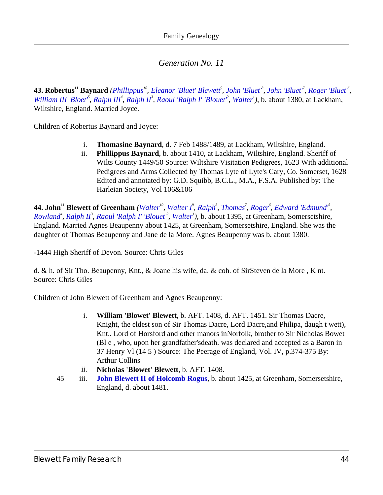<span id="page-43-0"></span>**43. Robertus<sup>11</sup> Baynard** ([Phillippus](#page-42-0)<sup>10</sup>, [Eleanor 'Bluet' Blewett](#page-37-1)<sup>9</sup>, John 'Bluet<sup>8</sup>, John 'Bluet<sup>8</sup>, Roger 'Bluet<sup>6</sup>, *[William III 'Bloet'](#page-23-1)*<sup>*5*</sup>, *Ralph III*<sup>4</sup>, *Ralph II*<sup>3</sup>, *[Raoul 'Ralph I' 'Blouet'](#page-8-0)*<sup>2</sup>, *[Walter](#page-3-0)*<sup>1</sup>), b. about 1380, at Lackham, Wiltshire, England. Married Joyce.

<span id="page-43-3"></span><span id="page-43-2"></span>Children of Robertus Baynard and Joyce:

- i. **Thomasine Baynard**, d. 7 Feb 1488/1489, at Lackham, Wiltshire, England.
- ii. **Phillippus Baynard**, b. about 1410, at Lackham, Wiltshire, England. Sheriff of Wilts County 1449/50 Source: Wiltshire Visitation Pedigrees, 1623 With additional Pedigrees and Arms Collected by Thomas Lyte of Lyte's Cary, Co. Somerset, 1628 Edited and annotated by: G.D. Squibb, B.C.L., M.A., F.S.A. Published by: The Harleian Society, Vol 106&106

<span id="page-43-5"></span><span id="page-43-4"></span><span id="page-43-1"></span>**44.John**<sup>11</sup> Blewett of Greenham ([Walter](#page-42-1)<sup>10</sup>, [Walter I](#page-40-0)<sup>P</sup>, [Ralph](#page-36-0)<sup>8</sup>, [Thomas](#page-32-0)<sup>7</sup>, [Roger](#page-29-3)<sup>6</sup>, Edward 'Edmund<sup>8</sup>, *[Rowland](#page-20-0)<sup>4</sup> , [Ralph II](#page-11-2)<sup>3</sup> , [Raoul 'Ralph I' 'Blouet'](#page-8-0)<sup>2</sup> , [Walter](#page-3-0)<sup>1</sup> )*, b. about 1395, at Greenham, Somersetshire, England. Married Agnes Beaupenny about 1425, at Greenham, Somersetshire, England. She was the daughter of Thomas Beaupenny and Jane de la More. Agnes Beaupenny was b. about 1380.

-1444 High Sheriff of Devon. Source: Chris Giles

d. & h. of Sir Tho. Beaupenny, Knt., & Joane his wife, da. & coh. of SirSteven de la More , K nt. Source: Chris Giles

<span id="page-43-7"></span>Children of John Blewett of Greenham and Agnes Beaupenny:

- i. **William 'Blowet' Blewett**, b. AFT. 1408, d. AFT. 1451. Sir Thomas Dacre, Knight, the eldest son of Sir Thomas Dacre, Lord Dacre,and Philipa, daugh t wett), Knt.. Lord of Horsford and other manors inNorfolk, brother to Sir Nicholas Bowet (Bl e , who, upon her grandfather'sdeath. was declared and accepted as a Baron in 37 Henry Vl (14 5 ) Source: The Peerage of England, Vol. IV, p.374-375 By: Arthur Collins
- ii. **Nicholas 'Blowet' Blewett**, b. AFT. 1408.
- <span id="page-43-6"></span>45 iii. **[John Blewett II of Holcomb Rogus](#page-44-0)**, b. about 1425, at Greenham, Somersetshire, England, d. about 1481.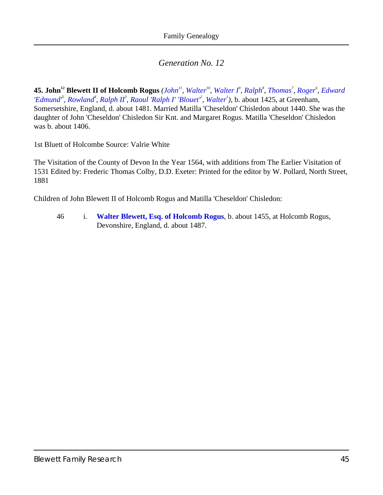<span id="page-44-2"></span><span id="page-44-1"></span><span id="page-44-0"></span>45. [John](#page-43-1) $^{12}$  Blewett II of Holcomb Rogus (John $^{11}$ , [Walter](#page-42-1) $^{10}$ , [Walter I](#page-40-0) $^{9}$ , [Ralph](#page-36-0) $^{8}$ , [Thomas](#page-32-0) $^{7}$ , [Roger](#page-29-3) $^{6}$ , [Edward](#page-27-2) *['Edmund'](#page-27-2)<sup>5</sup> , [Rowland](#page-20-0)<sup>4</sup> , [Ralph II](#page-11-2)<sup>3</sup> , [Raoul 'Ralph I' 'Blouet'](#page-8-0)<sup>2</sup> , [Walter](#page-3-0)<sup>1</sup> )*, b. about 1425, at Greenham, Somersetshire, England, d. about 1481. Married Matilla 'Cheseldon' Chisledon about 1440. She was the daughter of John 'Cheseldon' Chisledon Sir Knt. and Margaret Rogus. Matilla 'Cheseldon' Chisledon was b. about 1406.

1st Bluett of Holcombe Source: Valrie White

The Visitation of the County of Devon In the Year 1564, with additions from The Earlier Visitation of 1531 Edited by: Frederic Thomas Colby, D.D. Exeter: Printed for the editor by W. Pollard, North Street, 1881

Children of John Blewett II of Holcomb Rogus and Matilla 'Cheseldon' Chisledon:

46 i. **[Walter Blewett, Esq. of Holcomb Rogus](#page-45-0)**, b. about 1455, at Holcomb Rogus, Devonshire, England, d. about 1487.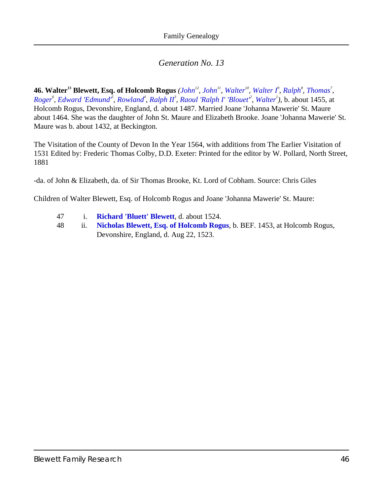<span id="page-45-2"></span><span id="page-45-1"></span><span id="page-45-0"></span>**46. [Walter](#page-42-1)<sup>13</sup>Blewett, Esq. of Holcomb Rogus** ([John](#page-43-1)<sup>12</sup>, John<sup>11</sup>, Walter<sup>10</sup>, Walter  $I^{\rho}$ , [Ralph](#page-36-0)<sup>8</sup>, [Thomas](#page-32-0)<sup>7</sup>, [Roger](#page-29-3)<sup>6</sup>, [Edward 'Edmund'](#page-27-2)<sup>s</sup>, [Rowland](#page-20-0)<sup>4</sup>, [Ralph II](#page-11-2)<sup>3</sup>, [Raoul 'Ralph I' 'Blouet'](#page-8-0)<sup>2</sup>, [Walter](#page-3-0)<sup>1</sup>), b. about 1455, at Holcomb Rogus, Devonshire, England, d. about 1487. Married Joane 'Johanna Mawerie' St. Maure about 1464. She was the daughter of John St. Maure and Elizabeth Brooke. Joane 'Johanna Mawerie' St. Maure was b. about 1432, at Beckington.

The Visitation of the County of Devon In the Year 1564, with additions from The Earlier Visitation of 1531 Edited by: Frederic Thomas Colby, D.D. Exeter: Printed for the editor by W. Pollard, North Street, 1881

-da. of John & Elizabeth, da. of Sir Thomas Brooke, Kt. Lord of Cobham. Source: Chris Giles

Children of Walter Blewett, Esq. of Holcomb Rogus and Joane 'Johanna Mawerie' St. Maure:

- 47 i. **[Richard 'Bluett' Blewett](#page-46-0)**, d. about 1524.
- 48 ii. **[Nicholas Blewett, Esq. of Holcomb Rogus](#page-46-1)**, b. BEF. 1453, at Holcomb Rogus, Devonshire, England, d. Aug 22, 1523.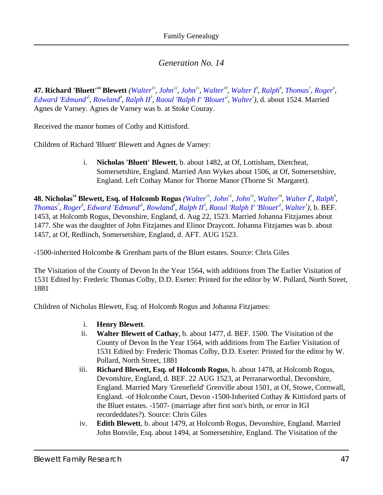<span id="page-46-7"></span><span id="page-46-0"></span>**47.Richard 'Bluett'<sup>14</sup> Blewett** ([Walter](#page-42-1)<sup>13</sup>, [John](#page-44-0)<sup>12</sup>, [John](#page-43-1)<sup>11</sup>, Walter<sup>10</sup>, [Walter I](#page-40-0)<sup>P</sup>, [Ralph](#page-36-0)<sup>8</sup>, [Thomas](#page-32-0)<sup>7</sup>, [Roger](#page-29-3)<sup>6</sup>, *[Edward 'Edmund'](#page-27-2)<sup>5</sup> , [Rowland](#page-20-0)<sup>4</sup> , [Ralph II](#page-11-2)<sup>3</sup> , [Raoul 'Ralph I' 'Blouet'](#page-8-0)<sup>2</sup> , [Walter](#page-3-0)<sup>1</sup> )*, d. about 1524. Married Agnes de Varney. Agnes de Varney was b. at Stoke Couray.

Received the manor homes of Cothy and Kittisford.

<span id="page-46-4"></span>Children of Richard 'Bluett' Blewett and Agnes de Varney:

i. **Nicholas 'Bluett' Blewett**, b. about 1482, at Of, Lottisham, Dietcheat, Somersetshire, England. Married Ann Wykes about 1506, at Of, Somersetshire, England. Left Cothay Manor for Thorne Manor (Thorne St Margaret).

<span id="page-46-9"></span><span id="page-46-8"></span><span id="page-46-1"></span>**48. Nicholas<sup>14</sup> Blewett, Esq. of Holcomb Rogus** ([Walter](#page-42-1)<sup>13</sup>, [John](#page-44-0)<sup>12</sup>, [John](#page-43-1)<sup>11</sup>, Walter<sup>10</sup>, [Walter I](#page-40-0)<sup>9</sup>, [Ralph](#page-36-0)<sup>8</sup>, [Thomas](#page-32-0)<sup>7</sup>, [Roger](#page-29-3)<sup>6</sup>, [Edward 'Edmund'](#page-27-2)<sup>s</sup>, [Rowland](#page-20-0)<sup>4</sup>, [Ralph II](#page-11-2)<sup>3</sup>, [Raoul 'Ralph I' 'Blouet'](#page-8-0)<sup>2</sup>, [Walter](#page-3-0)<sup>1</sup>), b. BEF. 1453, at Holcomb Rogus, Devonshire, England, d. Aug 22, 1523. Married Johanna Fitzjames about 1477. She was the daughter of John Fitzjames and Elinor Draycott. Johanna Fitzjames was b. about 1457, at Of, Redlinch, Somersetshire, England, d. AFT. AUG 1523.

-1500-inherited Holcombe & Grenham parts of the Bluet estates. Source: Chris Giles

The Visitation of the County of Devon In the Year 1564, with additions from The Earlier Visitation of 1531 Edited by: Frederic Thomas Colby, D.D. Exeter: Printed for the editor by W. Pollard, North Street, 1881

<span id="page-46-6"></span><span id="page-46-5"></span><span id="page-46-3"></span>Children of Nicholas Blewett, Esq. of Holcomb Rogus and Johanna Fitzjames:

- i. **Henry Blewett**.
- ii. **Walter Blewett of Cathay**, b. about 1477, d. BEF. 1500. The Visitation of the County of Devon In the Year 1564, with additions from The Earlier Visitation of 1531 Edited by: Frederic Thomas Colby, D.D. Exeter: Printed for the editor by W. Pollard, North Street, 1881
- iii. **Richard Blewett, Esq. of Holcomb Rogus**, b. about 1478, at Holcomb Rogus, Devonshire, England, d. BEF. 22 AUG 1523, at Perranarworthal, Devonshire, England. Married Mary 'Grenefield' Grenville about 1501, at Of, Stowe, Cornwall, England. -of Holcombe Court, Devon -1500-Inherited Cothay & Kittisford parts of the Bluet estates. -1507- (marriage after first son's birth, or error in IGI recordeddates?). Source: Chris Giles
- <span id="page-46-2"></span>iv. **Edith Blewett**, b. about 1479, at Holcomb Rogus, Devonshire, England. Married John Bonvile, Esq. about 1494, at Somersetshire, England. The Visitation of the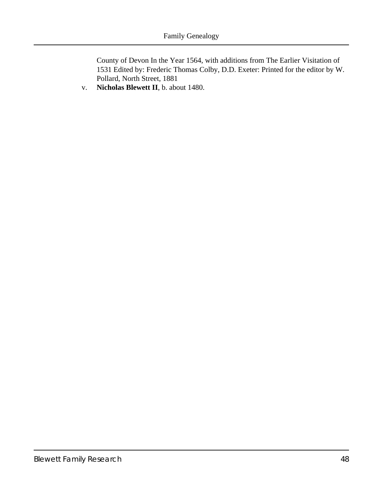County of Devon In the Year 1564, with additions from The Earlier Visitation of 1531 Edited by: Frederic Thomas Colby, D.D. Exeter: Printed for the editor by W. Pollard, North Street, 1881

<span id="page-47-0"></span>v. **Nicholas Blewett II**, b. about 1480.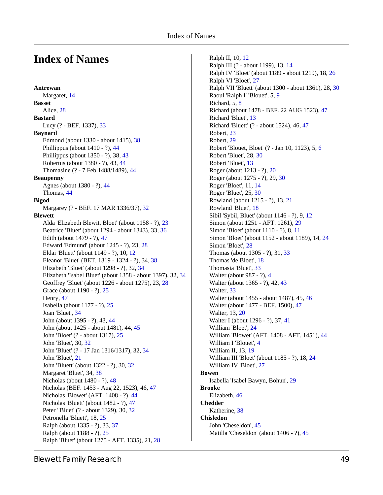## **Index of Names**

**Antrewan** Margaret, [14](#page-13-3) **Basset** Alice, [28](#page-27-3) **Bastard** Lucy (? - BEF. 1337), [33](#page-32-1) **Baynard** Edmond (about 1330 - about 1415), [38](#page-37-4) Phillippus (about 1410 - ?), [44](#page-43-2) Phillippus (about 1350 - ?), 38, [43](#page-42-0) Robertus (about 1380 - ?), 43, [44](#page-43-0) Thomasine (? - 7 Feb 1488/1489), [44](#page-43-3) **Beaupenny** Agnes (about 1380 - ?), [44](#page-43-4) Thomas, [44](#page-43-5) **Bigod** Margarey (? - BEF. 17 MAR 1336/37), [32](#page-31-3) **Blewett** Alda 'Elizabeth Blewit, Bloet' (about 1158 - ?), [23](#page-22-0) Beatrice 'Bluet' (about 1294 - about 1343), 33, [36](#page-35-0) Edith (about 1479 - ?), [47](#page-46-2) Edward 'Edmund' (about 1245 - ?), 23, [28](#page-27-2) Eldai 'Bluett' (about 1149 - ?), 10, [12](#page-11-1) Eleanor 'Bluet' (BET. 1319 - 1324 - ?), 34, [38](#page-37-1) Elizabeth 'Bluet' (about 1298 - ?), 32, [34](#page-33-1) Elizabeth 'Isabel Bluet' (about 1358 - about 1397), 32, [34](#page-33-2) Geoffrey 'Bluet' (about 1226 - about 1275), 23, [28](#page-27-1) Grace (about 1190 - ?), [25](#page-24-1) Henry, [47](#page-46-3) Isabella (about 1177 - ?), [25](#page-24-2) Joan 'Bluet', [34](#page-33-3) John (about 1395 - ?), 43, [44](#page-43-1) John (about 1425 - about 1481), 44, [45](#page-44-0) John 'Bloet' (? - about 1317), [25](#page-24-3) John 'Bluet', 30, [32](#page-31-0) John 'Bluet' (? - 17 Jan 1316/1317), 32, [34](#page-33-0) John 'Bluet', [21](#page-20-1) John 'Bluett' (about 1322 - ?), 30, [32](#page-31-1) Margaret 'Bluet', 34, [38](#page-37-0) Nicholas (about 1480 - ?), [48](#page-47-0) Nicholas (BEF. 1453 - Aug 22, 1523), 46, [47](#page-46-1) Nicholas 'Blowet' (AFT. 1408 - ?), [44](#page-43-6) Nicholas 'Bluett' (about 1482 - ?), [47](#page-46-4) Peter "Bluet' (? - about 1329), 30, [32](#page-31-2) Petronella 'Bluett', 18, [25](#page-24-0) Ralph (about 1335 - ?), 33, [37](#page-36-0) Ralph (about 1188 - ?), [25](#page-24-4) Ralph 'Bluet' (about 1275 - AFT. 1335), 21, [28](#page-27-0)

Ralph II, 10, [12](#page-11-2) Ralph III (? - about 1199), 13, [14](#page-13-2) Ralph IV 'Bloet' (about 1189 - about 1219), 18, [26](#page-25-0) Ralph VI 'Bloet', [27](#page-26-0) Ralph VII 'Bluett' (about 1300 - about 1361), 28, [30](#page-29-1) Raoul 'Ralph I' 'Blouet', 5, [9](#page-8-0) Richard, 5, [8](#page-7-0) Richard (about 1478 - BEF. 22 AUG 1523), [47](#page-46-5) Richard 'Bluet', [13](#page-12-0) Richard 'Bluett' (? - about 1524), 46, [47](#page-46-0) Robert, [23](#page-22-1) Robert, [29](#page-28-0) Robert 'Blouet, Bloet' (? - Jan 10, 1123), 5, [6](#page-5-0) Robert 'Bluet', 28, [30](#page-29-2) Robert 'Bluet', [13](#page-12-1) Roger (about 1213 - ?), [20](#page-19-1) Roger (about 1275 - ?), 29, [30](#page-29-3) Roger 'Bloet', 11, [14](#page-13-0) Roger 'Bluet', 25, [30](#page-29-0) Rowland (about 1215 - ?), 13, [21](#page-20-0) Rowland 'Bluet', [18](#page-17-0) Sibil 'Sybil, Bluet' (about 1146 - ?), 9, [12](#page-11-0) Simon (about 1251 - AFT. 1261), [29](#page-28-1) Simon 'Bloet' (about 1110 - ?), 8, [11](#page-10-0) Simon 'Bloet' (about 1152 - about 1189), 14, [24](#page-23-0) Simon 'Bloet', [28](#page-27-4) Thomas (about 1305 - ?), 31, [33](#page-32-0) Thomas 'de Bloet', [18](#page-17-1) Thomasia 'Bluet', [33](#page-32-2) Walter (about 987 - ?), [4](#page-3-0) Walter (about 1365 - ?), 42, [43](#page-42-1) Walter, [33](#page-32-3) Walter (about 1455 - about 1487), 45, [46](#page-45-0) Walter (about 1477 - BEF. 1500), [47](#page-46-6) Walter, 13, [20](#page-19-0) Walter I (about 1296 - ?), 37, [41](#page-40-0) William 'Bloet', [24](#page-23-2) William 'Blowet' (AFT. 1408 - AFT. 1451), [44](#page-43-7) William I 'Blouet', [4](#page-3-1) William II, 13, [19](#page-18-0) William III 'Bloet' (about 1185 - ?), 18, [24](#page-23-1) William IV 'Bloet', [27](#page-26-1) **Bowen** Isabella 'Isabel Bawyn, Bohun', [29](#page-28-2) **Brooke** Elizabeth, [46](#page-45-1) **Chedder** Katherine, [38](#page-37-5) **Chisledon** John 'Cheseldon', [45](#page-44-1) Matilla 'Cheseldon' (about 1406 - ?), [45](#page-44-2)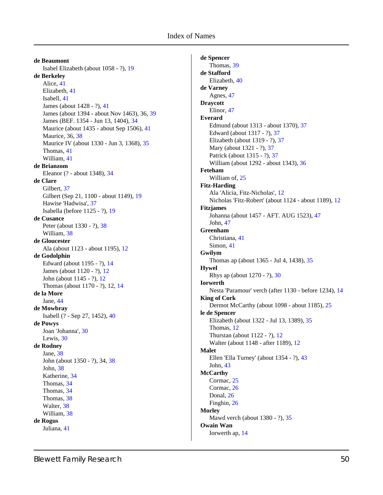#### Index of Names

**de Beaumont** Isabel Elizabeth (about 1058 - ?), [19](#page-18-1) **de Berkeley** Alice, [41](#page-40-1) Elizabeth, [41](#page-40-2) Isabell, [41](#page-40-3) James (about 1428 - ?), [41](#page-40-4) James (about 1394 - about Nov 1463), 36, [39](#page-38-0) James (BEF. 1354 - Jun 13, 1404), [34](#page-33-4) Maurice (about 1435 - about Sep 1506), [41](#page-40-5) Maurice, 36, [38](#page-37-3) Maurice IV (about 1330 - Jun 3, 1368), [35](#page-34-0) Thomas, [41](#page-40-6) William, [41](#page-40-7) **de Brianzom** Eleanor (? - about 1348), [34](#page-33-5) **de Clare** Gilbert, [37](#page-36-1) Gilbert (Sep 21, 1100 - about 1149), [19](#page-18-1) Hawise 'Hadwisa', [37](#page-36-2) Isabella (before 1125 - ?), [19](#page-18-2) **de Cusance** Peter (about 1330 - ?), [38](#page-37-6) William, [38](#page-37-7) **de Gloucester** Ala (about 1123 - about 1195), [12](#page-11-3) **de Godolphin** Edward (about 1195 - ?), [14](#page-13-4) James (about 1120 - ?), [12](#page-11-4) John (about 1145 - ?), [12](#page-11-5) Thomas (about 1170 - ?), 12, [14](#page-13-1) **de la More** Jane, [44](#page-43-5) **de Mowbray** Isabell (? - Sep 27, 1452), [40](#page-39-0) **de Powys** Joan 'Johanna', [30](#page-29-4) Lewis, [30](#page-29-5) **de Rodney** Jane, [38](#page-37-8) John (about 1350 - ?), 34, [38](#page-37-2) John, [38](#page-37-9) Katherine, [34](#page-33-6) Thomas, [34](#page-33-7) Thomas, [34](#page-33-8) Thomas, [38](#page-37-10) Walter, [38](#page-37-11) William, [38](#page-37-12) **de Rogus** Juliana, [41](#page-40-8)

**de Spencer** Thomas, [39](#page-38-1) **de Stafford** Elizabeth, [40](#page-39-1) **de Varney** Agnes, [47](#page-46-7) **Draycott** Elinor, [47](#page-46-8) **Everard** Edmund (about 1313 - about 1370), [37](#page-36-3) Edward (about 1317 - ?), [37](#page-36-4) Elizabeth (about 1319 - ?), [37](#page-36-5) Mary (about 1321 - ?), [37](#page-36-6) Patrick (about 1315 - ?), [37](#page-36-7) William (about 1292 - about 1343), [36](#page-35-1) **Feteham** William of, [25](#page-24-5) **Fitz-Harding** Ala 'Alicia, Fitz-Nicholas', [12](#page-11-6) Nicholas 'Fitz-Robert' (about 1124 - about 1189), [12](#page-11-3) **Fitzjames** Johanna (about 1457 - AFT. AUG 1523), [47](#page-46-9) John, [47](#page-46-8) **Greenham** Christiana, [41](#page-40-9) Simon, [41](#page-40-8) **Gwilym** Thomas ap (about 1365 - Jul 4, 1438), [35](#page-34-1) **Hywel** Rhys ap (about 1270 - ?), [30](#page-29-6) **Iorwerth** Nesta 'Paramour' verch (after 1130 - before 1234), [14](#page-13-5) **King of Cork** Dermot McCarthy (about 1098 - about 1185), [25](#page-24-6) **le de Spencer** Elizabeth (about 1322 - Jul 13, 1389), [35](#page-34-0) Thomas, [12](#page-11-7) Thurstan (about 1122 - ?), [12](#page-11-8) Walter (about 1148 - after 1189), [12](#page-11-9) **Malet** Ellen 'Ella Turney' (about 1354 - ?), [43](#page-42-2) John, [43](#page-42-3) **McCarthy** Cormac, [25](#page-24-7) Cormac, [26](#page-25-1) Donal, [26](#page-25-2) Finghin, [26](#page-25-3) **Morley** Mawd verch (about 1380 - ?), [35](#page-34-1) **Owain Wan** Iorwerth ap, [14](#page-13-6)